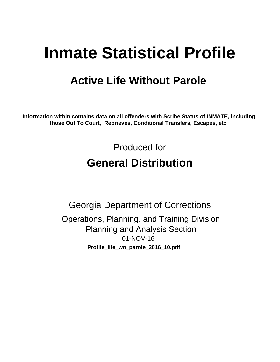# **Inmate Statistical Profile**

## **Active Life Without Parole**

Information within contains data on all offenders with Scribe Status of INMATE, including those Out To Court, Reprieves, Conditional Transfers, Escapes, etc

> Produced for **General Distribution**

**Georgia Department of Corrections** Operations, Planning, and Training Division **Planning and Analysis Section** 01-NOV-16 Profile\_life\_wo\_parole\_2016\_10.pdf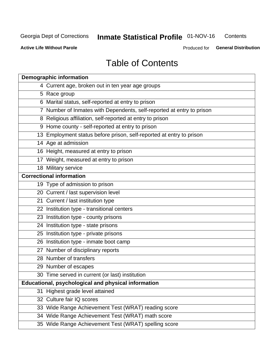#### **Inmate Statistical Profile 01-NOV-16** Contents

**Active Life Without Parole** 

Produced for General Distribution

## **Table of Contents**

|    | <b>Demographic information</b>                                        |
|----|-----------------------------------------------------------------------|
|    | 4 Current age, broken out in ten year age groups                      |
|    | 5 Race group                                                          |
|    | 6 Marital status, self-reported at entry to prison                    |
|    | 7 Number of Inmates with Dependents, self-reported at entry to prison |
|    | 8 Religious affiliation, self-reported at entry to prison             |
|    | 9 Home county - self-reported at entry to prison                      |
|    | 13 Employment status before prison, self-reported at entry to prison  |
|    | 14 Age at admission                                                   |
|    | 16 Height, measured at entry to prison                                |
|    | 17 Weight, measured at entry to prison                                |
|    | 18 Military service                                                   |
|    | <b>Correctional information</b>                                       |
|    | 19 Type of admission to prison                                        |
|    | 20 Current / last supervision level                                   |
|    | 21 Current / last institution type                                    |
|    | 22 Institution type - transitional centers                            |
|    | 23 Institution type - county prisons                                  |
|    | 24 Institution type - state prisons                                   |
|    | 25 Institution type - private prisons                                 |
|    | 26 Institution type - inmate boot camp                                |
|    | 27 Number of disciplinary reports                                     |
|    | 28 Number of transfers                                                |
|    | 29 Number of escapes                                                  |
|    | 30 Time served in current (or last) institution                       |
|    | Educational, psychological and physical information                   |
| 31 | Highest grade level attained                                          |
|    | 32 Culture fair IQ scores                                             |
|    | 33 Wide Range Achievement Test (WRAT) reading score                   |
|    | 34 Wide Range Achievement Test (WRAT) math score                      |
|    | 35 Wide Range Achievement Test (WRAT) spelling score                  |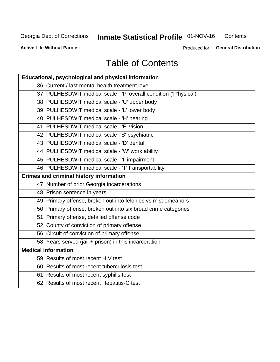## **Inmate Statistical Profile 01-NOV-16**

Contents

**Active Life Without Parole** 

Produced for General Distribution

## **Table of Contents**

| Educational, psychological and physical information              |
|------------------------------------------------------------------|
| 36 Current / last mental health treatment level                  |
| 37 PULHESDWIT medical scale - 'P' overall condition ('P'hysical) |
| 38 PULHESDWIT medical scale - 'U' upper body                     |
| 39 PULHESDWIT medical scale - 'L' lower body                     |
| 40 PULHESDWIT medical scale - 'H' hearing                        |
| 41 PULHESDWIT medical scale - 'E' vision                         |
| 42 PULHESDWIT medical scale -'S' psychiatric                     |
| 43 PULHESDWIT medical scale - 'D' dental                         |
| 44 PULHESDWIT medical scale - 'W' work ability                   |
| 45 PULHESDWIT medical scale - 'I' impairment                     |
| 46 PULHESDWIT medical scale - 'T' transportability               |
| <b>Crimes and criminal history information</b>                   |
| 47 Number of prior Georgia incarcerations                        |
| 48 Prison sentence in years                                      |
| 49 Primary offense, broken out into felonies vs misdemeanors     |
| 50 Primary offense, broken out into six broad crime categories   |
| 51 Primary offense, detailed offense code                        |
| 52 County of conviction of primary offense                       |
| 56 Circuit of conviction of primary offense                      |
| 58 Years served (jail + prison) in this incarceration            |
| <b>Medical information</b>                                       |
| 59 Results of most recent HIV test                               |
| 60 Results of most recent tuberculosis test                      |
| 61 Results of most recent syphilis test                          |
| 62 Results of most recent Hepatitis-C test                       |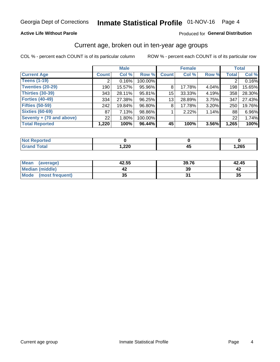### **Active Life Without Parole**

### Produced for General Distribution

## Current age, broken out in ten-year age groups

COL % - percent each COUNT is of its particular column

|                          | <b>Male</b>     |          |         | <b>Female</b> |        |       |              | <b>Total</b> |
|--------------------------|-----------------|----------|---------|---------------|--------|-------|--------------|--------------|
| <b>Current Age</b>       | <b>Count</b>    | Col %    | Row %   | <b>Count</b>  | Col %  | Row % | <b>Total</b> | Col %        |
| <b>Teens (1-19)</b>      | ◠               | 0.16%    | 100.00% |               |        |       | 2            | 0.16%        |
| <b>Twenties (20-29)</b>  | 190             | 15.57%   | 95.96%  | 8             | 17.78% | 4.04% | 198          | 15.65%       |
| Thirties (30-39)         | 343             | 28.11%   | 95.81%  | 15            | 33.33% | 4.19% | 358          | 28.30%       |
| <b>Forties (40-49)</b>   | 334             | 27.38%   | 96.25%  | 13            | 28.89% | 3.75% | 347          | 27.43%       |
| <b>Fifties (50-59)</b>   | 242             | 19.84%   | 96.80%  | 8             | 17.78% | 3.20% | 250          | 19.76%       |
| <b>Sixties (60-69)</b>   | 87 <sup>°</sup> | 7.13%    | 98.86%  |               | 2.22%  | 1.14% | 88           | 6.96%        |
| Seventy + (70 and above) | 22 <sub>1</sub> | $1.80\%$ | 100.00% |               |        |       | 22           | 1.74%        |
| <b>Total Reported</b>    | 1,220           | 100%     | 96.44%  | 45            | 100%   | 3.56% | 1,265        | 100%         |

| المستحدث بالتعاد |               |      |
|------------------|---------------|------|
| $C = 4$          | າາດ<br>525, ا | ,265 |

| <b>Mean</b><br>(average)       | 42.55    | 39.76 | 42.45 |
|--------------------------------|----------|-------|-------|
| Median (middle)                |          | 39    |       |
| <b>Mode</b><br>(most frequent) | 25<br>vu |       | 35    |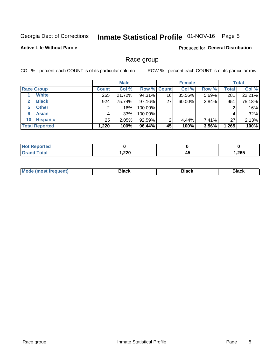## Inmate Statistical Profile 01-NOV-16 Page 5

## **Active Life Without Parole**

Produced for General Distribution

## Race group

COL % - percent each COUNT is of its particular column

|                              | <b>Male</b>  |         |         | <b>Female</b>      |        |       | <b>Total</b> |        |
|------------------------------|--------------|---------|---------|--------------------|--------|-------|--------------|--------|
| <b>Race Group</b>            | <b>Count</b> | Col %   |         | <b>Row % Count</b> | Col %  | Row % | <b>Total</b> | Col %  |
| <b>White</b>                 | 265          | 21.72%  | 94.31%  | 16                 | 35.56% | 5.69% | 281          | 22.21% |
| <b>Black</b><br>$\mathbf{2}$ | 924          | 75.74%  | 97.16%  | 27                 | 60.00% | 2.84% | 951          | 75.18% |
| <b>Other</b><br>5.           |              | $.16\%$ | 100.00% |                    |        |       | 2            | .16%   |
| <b>Asian</b><br>6            | 4            | $.33\%$ | 100.00% |                    |        |       | 4            | .32%   |
| <b>Hispanic</b><br>10        | 25           | 2.05%   | 92.59%  | 2                  | 4.44%  | 7.41% | 27           | 2.13%  |
| <b>Total Reported</b>        | 1,220        | 100%    | 96.44%  | 45                 | 100%   | 3.56% | 1,265        | 100%   |

| ∩rteα        |      |    |      |
|--------------|------|----|------|
| <b>Total</b> | ,220 | 4. | ,265 |

| –•••• |  | M |  |  |  |
|-------|--|---|--|--|--|
|-------|--|---|--|--|--|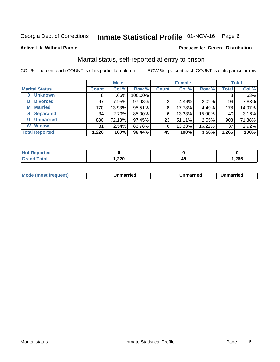## Inmate Statistical Profile 01-NOV-16 Page 6

### **Active Life Without Parole**

## Produced for General Distribution

## Marital status, self-reported at entry to prison

COL % - percent each COUNT is of its particular column

| <b>Male</b>            |              |        |         | <b>Female</b> | <b>Total</b> |        |              |        |
|------------------------|--------------|--------|---------|---------------|--------------|--------|--------------|--------|
| <b>Marital Status</b>  | <b>Count</b> | Col %  | Row %   | <b>Count</b>  | Col %        | Row %  | <b>Total</b> | Col %  |
| <b>Unknown</b>         | 8            | .66%   | 100.00% |               |              |        | 8            | .63%   |
| <b>Divorced</b><br>D   | 97           | 7.95%  | 97.98%  | 2             | 4.44%        | 2.02%  | 99           | 7.83%  |
| <b>Married</b><br>М    | 170          | 13.93% | 95.51%  | 8             | 17.78%       | 4.49%  | 178          | 14.07% |
| <b>Separated</b><br>S. | 34           | 2.79%  | 85.00%  | 6             | 13.33%       | 15.00% | 40           | 3.16%  |
| <b>Unmarried</b><br>U  | 880          | 72.13% | 97.45%  | 23            | 51.11%       | 2.55%  | 903          | 71.38% |
| <b>Widow</b><br>W      | 31           | 2.54%  | 83.78%  | 6             | 13.33%       | 16.22% | 37           | 2.92%  |
| <b>Total Reported</b>  | 1,220        | 100%   | 96.44%  | 45            | 100%         | 3.56%  | 1,265        | 100%   |

| <b>Not Reported</b><br>. <b>.</b> |        |    |       |
|-----------------------------------|--------|----|-------|
| Total                             | 220, ا | т. | 265,، |

|  | M | . | Unmarried | າmarried<br>_____ |
|--|---|---|-----------|-------------------|
|--|---|---|-----------|-------------------|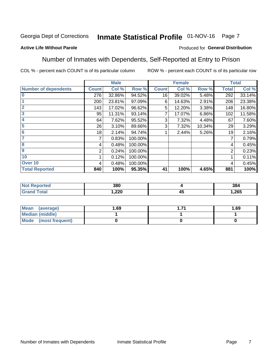## Inmate Statistical Profile 01-NOV-16 Page 7

## **Active Life Without Parole**

### Produced for General Distribution

## Number of Inmates with Dependents, Self-Reported at Entry to Prison

COL % - percent each COUNT is of its particular column

|                             |              | <b>Male</b> |         |              | <b>Female</b> |        |              | <b>Total</b> |
|-----------------------------|--------------|-------------|---------|--------------|---------------|--------|--------------|--------------|
| <b>Number of dependents</b> | <b>Count</b> | Col %       | Row %   | <b>Count</b> | Col %         | Row %  | <b>Total</b> | Col %        |
| $\bf{0}$                    | 276          | 32.86%      | 94.52%  | 16           | 39.02%        | 5.48%  | 292          | 33.14%       |
|                             | 200          | 23.81%      | 97.09%  | 6            | 14.63%        | 2.91%  | 206          | 23.38%       |
| $\overline{2}$              | 143          | 17.02%      | 96.62%  | 5            | 12.20%        | 3.38%  | 148          | 16.80%       |
| 3                           | 95           | 11.31%      | 93.14%  |              | 17.07%        | 6.86%  | 102          | 11.58%       |
| 4                           | 64           | 7.62%       | 95.52%  | 3            | 7.32%         | 4.48%  | 67           | 7.60%        |
| 5                           | 26           | 3.10%       | 89.66%  | 3            | 7.32%         | 10.34% | 29           | 3.29%        |
| $6\phantom{1}6$             | 18           | 2.14%       | 94.74%  |              | 2.44%         | 5.26%  | 19           | 2.16%        |
| 7                           |              | 0.83%       | 100.00% |              |               |        | 7            | 0.79%        |
| $\overline{\mathbf{8}}$     | 4            | 0.48%       | 100.00% |              |               |        | 4            | 0.45%        |
| $\boldsymbol{9}$            | 2            | 0.24%       | 100.00% |              |               |        | 2            | 0.23%        |
| 10                          |              | 0.12%       | 100.00% |              |               |        |              | 0.11%        |
| Over 10                     | 4            | 0.48%       | 100.00% |              |               |        | 4            | 0.45%        |
| <b>Total Reported</b>       | 840          | 100%        | 95.35%  | 41           | 100%          | 4.65%  | 881          | 100%         |

| τeσ | 380  |                    | 384   |
|-----|------|--------------------|-------|
|     | ,220 | $\mathbf{r}$<br>≖∾ | 1,265 |

| Mean (average)          | 1.69 | -74 | 1.69 |
|-------------------------|------|-----|------|
| <b>Median (middle)</b>  |      |     |      |
| Mode<br>(most frequent) |      |     |      |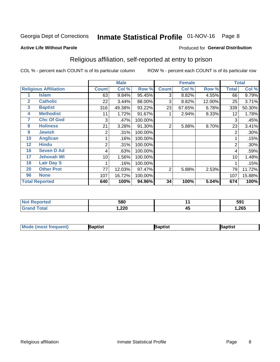## Inmate Statistical Profile 01-NOV-16 Page 8

### **Active Life Without Parole**

### Produced for General Distribution

## Religious affiliation, self-reported at entry to prison

COL % - percent each COUNT is of its particular column

|              |                              |              | <b>Male</b> |         |              | <b>Female</b> |        |              | <b>Total</b> |
|--------------|------------------------------|--------------|-------------|---------|--------------|---------------|--------|--------------|--------------|
|              | <b>Religious Affiliation</b> | <b>Count</b> | Col %       | Row %   | <b>Count</b> | Col %         | Row %  | <b>Total</b> | Col %        |
|              | Islam                        | 63           | 9.84%       | 95.45%  | 3            | 8.82%         | 4.55%  | 66           | 9.79%        |
| $\mathbf{2}$ | <b>Catholic</b>              | 22           | 3.44%       | 88.00%  | 3            | 8.82%         | 12.00% | 25           | 3.71%        |
| 3            | <b>Baptist</b>               | 316          | 49.38%      | 93.22%  | 23           | 67.65%        | 6.78%  | 339          | 50.30%       |
| 4            | <b>Methodist</b>             | 11           | 1.72%       | 91.67%  |              | 2.94%         | 8.33%  | 12           | 1.78%        |
| 7            | <b>Chc Of God</b>            | 3            | .47%        | 100.00% |              |               |        | 3            | .45%         |
| 8            | <b>Holiness</b>              | 21           | 3.28%       | 91.30%  | 2            | 5.88%         | 8.70%  | 23           | 3.41%        |
| 9            | <b>Jewish</b>                | 2            | .31%        | 100.00% |              |               |        | 2            | .30%         |
| 10           | <b>Anglican</b>              |              | .16%        | 100.00% |              |               |        |              | .15%         |
| 12           | <b>Hindu</b>                 | 2            | .31%        | 100.00% |              |               |        | 2            | .30%         |
| 16           | <b>Seven D Ad</b>            | 4            | .63%        | 100.00% |              |               |        | 4            | .59%         |
| 17           | <b>Jehovah Wt</b>            | 10           | 1.56%       | 100.00% |              |               |        | 10           | 1.48%        |
| 18           | <b>Latr Day S</b>            |              | .16%        | 100.00% |              |               |        |              | .15%         |
| 20           | <b>Other Prot</b>            | 77           | 12.03%      | 97.47%  | 2            | 5.88%         | 2.53%  | 79           | 11.72%       |
| 96           | <b>None</b>                  | 107          | 16.72%      | 100.00% |              |               |        | 107          | 15.88%       |
|              | <b>Total Reported</b>        | 640          | 100%        | 94.96%  | 34           | 100%          | 5.04%  | 674          | 100%         |

| ı tere                | 580          |           | 591  |
|-----------------------|--------------|-----------|------|
| $f \wedge f \wedge f$ | າາດ<br>1,ZZU | . .<br>≖∾ | ,265 |

| <b>Mode (most frequent)</b> | 3aptist | 3aptist | Baptist |
|-----------------------------|---------|---------|---------|
|-----------------------------|---------|---------|---------|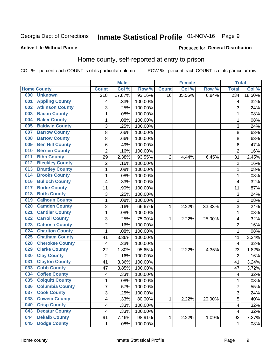## Inmate Statistical Profile 01-NOV-16 Page 9

### **Active Life Without Parole**

### Produced for General Distribution

## Home county, self-reported at entry to prison

COL % - percent each COUNT is of its particular column

|     |                        |                  | <b>Male</b> |         |                | <b>Female</b> |        | <b>Total</b>            |        |
|-----|------------------------|------------------|-------------|---------|----------------|---------------|--------|-------------------------|--------|
|     | <b>Home County</b>     | <b>Count</b>     | Col %       | Row %   | <b>Count</b>   | Col %         | Row %  | <b>Total</b>            | Col %  |
| 000 | <b>Unknown</b>         | $\overline{218}$ | 17.87%      | 93.16%  | 16             | 35.56%        | 6.84%  | 234                     | 18.50% |
| 001 | <b>Appling County</b>  | 4                | .33%        | 100.00% |                |               |        | 4                       | .32%   |
| 002 | <b>Atkinson County</b> | 3                | .25%        | 100.00% |                |               |        | 3                       | .24%   |
| 003 | <b>Bacon County</b>    | 1                | .08%        | 100.00% |                |               |        | 1                       | .08%   |
| 004 | <b>Baker County</b>    | $\mathbf{1}$     | .08%        | 100.00% |                |               |        | 1                       | .08%   |
| 005 | <b>Baldwin County</b>  | 3                | .25%        | 100.00% |                |               |        | 3                       | .24%   |
| 007 | <b>Barrow County</b>   | 8                | .66%        | 100.00% |                |               |        | 8                       | .63%   |
| 008 | <b>Bartow County</b>   | 8                | .66%        | 100.00% |                |               |        | 8                       | .63%   |
| 009 | <b>Ben Hill County</b> | 6                | .49%        | 100.00% |                |               |        | 6                       | .47%   |
| 010 | <b>Berrien County</b>  | $\overline{c}$   | .16%        | 100.00% |                |               |        | $\overline{2}$          | .16%   |
| 011 | <b>Bibb County</b>     | 29               | 2.38%       | 93.55%  | $\overline{2}$ | 4.44%         | 6.45%  | 31                      | 2.45%  |
| 012 | <b>Bleckley County</b> | 2                | .16%        | 100.00% |                |               |        | $\overline{2}$          | .16%   |
| 013 | <b>Brantley County</b> | $\mathbf{1}$     | .08%        | 100.00% |                |               |        | 1                       | .08%   |
| 014 | <b>Brooks County</b>   | $\mathbf{1}$     | .08%        | 100.00% |                |               |        | 1                       | .08%   |
| 016 | <b>Bulloch County</b>  | 4                | .33%        | 100.00% |                |               |        | $\overline{4}$          | .32%   |
| 017 | <b>Burke County</b>    | 11               | .90%        | 100.00% |                |               |        | 11                      | .87%   |
| 018 | <b>Butts County</b>    | 3                | .25%        | 100.00% |                |               |        | 3                       | .24%   |
| 019 | <b>Calhoun County</b>  | $\mathbf{1}$     | .08%        | 100.00% |                |               |        | 1                       | .08%   |
| 020 | <b>Camden County</b>   | $\overline{c}$   | .16%        | 66.67%  | 1              | 2.22%         | 33.33% | 3                       | .24%   |
| 021 | <b>Candler County</b>  | $\mathbf{1}$     | .08%        | 100.00% |                |               |        | 1                       | .08%   |
| 022 | <b>Carroll County</b>  | 3                | .25%        | 75.00%  | 1              | 2.22%         | 25.00% | 4                       | .32%   |
| 023 | <b>Catoosa County</b>  | 2                | .16%        | 100.00% |                |               |        | $\overline{2}$          | .16%   |
| 024 | <b>Charlton County</b> | $\mathbf{1}$     | .08%        | 100.00% |                |               |        | 1                       | .08%   |
| 025 | <b>Chatham County</b>  | 41               | 3.36%       | 100.00% |                |               |        | 41                      | 3.24%  |
| 028 | <b>Cherokee County</b> | 4                | .33%        | 100.00% |                |               |        | 4                       | .32%   |
| 029 | <b>Clarke County</b>   | 22               | 1.80%       | 95.65%  | 1              | 2.22%         | 4.35%  | 23                      | 1.82%  |
| 030 | <b>Clay County</b>     | 2                | .16%        | 100.00% |                |               |        | $\overline{2}$          | .16%   |
| 031 | <b>Clayton County</b>  | 41               | 3.36%       | 100.00% |                |               |        | 41                      | 3.24%  |
| 033 | <b>Cobb County</b>     | 47               | 3.85%       | 100.00% |                |               |        | 47                      | 3.72%  |
| 034 | <b>Coffee County</b>   | 4                | .33%        | 100.00% |                |               |        | 4                       | .32%   |
| 035 | <b>Colquitt County</b> | 1                | .08%        | 100.00% |                |               |        | 1                       | .08%   |
| 036 | <b>Columbia County</b> | 7                | .57%        | 100.00% |                |               |        | $\overline{7}$          | .55%   |
| 037 | <b>Cook County</b>     | 3                | .25%        | 100.00% |                |               |        | 3                       | .24%   |
| 038 | <b>Coweta County</b>   | 4                | .33%        | 80.00%  | 1              | 2.22%         | 20.00% | $\overline{5}$          | .40%   |
| 040 | <b>Crisp County</b>    | 4                | .33%        | 100.00% |                |               |        | $\overline{\mathbf{4}}$ | .32%   |
| 043 | <b>Decatur County</b>  | 4                | .33%        | 100.00% |                |               |        | 4                       | .32%   |
| 044 | <b>Dekalb County</b>   | 91               | 7.46%       | 98.91%  | 1              | 2.22%         | 1.09%  | 92                      | 7.27%  |
| 045 | <b>Dodge County</b>    | 1                | .08%        | 100.00% |                |               |        | 1                       | .08%   |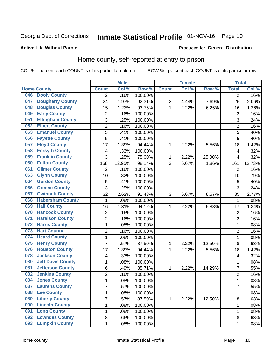## Inmate Statistical Profile 01-NOV-16 Page 10

### **Active Life Without Parole**

## Produced for General Distribution

## Home county, self-reported at entry to prison

COL % - percent each COUNT is of its particular column

|     |                          |                | <b>Male</b> |         |              | <b>Female</b> |        | <b>Total</b>   |        |
|-----|--------------------------|----------------|-------------|---------|--------------|---------------|--------|----------------|--------|
|     | <b>Home County</b>       | <b>Count</b>   | Col %       | Row %   | <b>Count</b> | Col %         | Row %  | <b>Total</b>   | Col %  |
| 046 | <b>Dooly County</b>      | $\overline{2}$ | .16%        | 100.00% |              |               |        | $\overline{2}$ | .16%   |
| 047 | <b>Dougherty County</b>  | 24             | 1.97%       | 92.31%  | 2            | 4.44%         | 7.69%  | 26             | 2.06%  |
| 048 | <b>Douglas County</b>    | 15             | 1.23%       | 93.75%  | 1            | 2.22%         | 6.25%  | 16             | 1.26%  |
| 049 | <b>Early County</b>      | 2              | .16%        | 100.00% |              |               |        | $\overline{2}$ | .16%   |
| 051 | <b>Effingham County</b>  | 3              | .25%        | 100.00% |              |               |        | 3              | .24%   |
| 052 | <b>Elbert County</b>     | 2              | .16%        | 100.00% |              |               |        | $\overline{2}$ | .16%   |
| 053 | <b>Emanuel County</b>    | $\overline{5}$ | .41%        | 100.00% |              |               |        | 5              | .40%   |
| 056 | <b>Fayette County</b>    | 5              | .41%        | 100.00% |              |               |        | 5              | .40%   |
| 057 | <b>Floyd County</b>      | 17             | 1.39%       | 94.44%  | 1            | 2.22%         | 5.56%  | 18             | 1.42%  |
| 058 | <b>Forsyth County</b>    | 4              | .33%        | 100.00% |              |               |        | 4              | .32%   |
| 059 | <b>Franklin County</b>   | $\overline{3}$ | .25%        | 75.00%  | 1            | 2.22%         | 25.00% | $\overline{4}$ | .32%   |
| 060 | <b>Fulton County</b>     | 158            | 12.95%      | 98.14%  | 3            | 6.67%         | 1.86%  | 161            | 12.73% |
| 061 | <b>Gilmer County</b>     | $\overline{2}$ | .16%        | 100.00% |              |               |        | $\overline{2}$ | .16%   |
| 063 | <b>Glynn County</b>      | 10             | .82%        | 100.00% |              |               |        | 10             | .79%   |
| 064 | <b>Gordon County</b>     | 5              | .41%        | 100.00% |              |               |        | 5              | .40%   |
| 066 | <b>Greene County</b>     | 3              | .25%        | 100.00% |              |               |        | 3              | .24%   |
| 067 | <b>Gwinnett County</b>   | 32             | 2.62%       | 91.43%  | 3            | 6.67%         | 8.57%  | 35             | 2.77%  |
| 068 | <b>Habersham County</b>  | 1              | .08%        | 100.00% |              |               |        | 1              | .08%   |
| 069 | <b>Hall County</b>       | 16             | 1.31%       | 94.12%  | 1            | 2.22%         | 5.88%  | 17             | 1.34%  |
| 070 | <b>Hancock County</b>    | 2              | .16%        | 100.00% |              |               |        | $\overline{2}$ | .16%   |
| 071 | <b>Haralson County</b>   | $\overline{c}$ | .16%        | 100.00% |              |               |        | $\overline{2}$ | .16%   |
| 072 | <b>Harris County</b>     | $\mathbf{1}$   | .08%        | 100.00% |              |               |        | 1              | .08%   |
| 073 | <b>Hart County</b>       | $\overline{c}$ | .16%        | 100.00% |              |               |        | $\overline{2}$ | .16%   |
| 074 | <b>Heard County</b>      | $\mathbf{1}$   | .08%        | 100.00% |              |               |        | 1              | .08%   |
| 075 | <b>Henry County</b>      | $\overline{7}$ | .57%        | 87.50%  | 1            | 2.22%         | 12.50% | 8              | .63%   |
| 076 | <b>Houston County</b>    | 17             | 1.39%       | 94.44%  | 1            | 2.22%         | 5.56%  | 18             | 1.42%  |
| 078 | <b>Jackson County</b>    | 4              | .33%        | 100.00% |              |               |        | 4              | .32%   |
| 080 | <b>Jeff Davis County</b> | $\mathbf{1}$   | .08%        | 100.00% |              |               |        | 1              | .08%   |
| 081 | <b>Jefferson County</b>  | 6              | .49%        | 85.71%  | 1            | 2.22%         | 14.29% | 7              | .55%   |
| 082 | <b>Jenkins County</b>    | 2              | .16%        | 100.00% |              |               |        | $\overline{2}$ | .16%   |
| 084 | <b>Jones County</b>      | $\mathbf 1$    | .08%        | 100.00% |              |               |        | 1              | .08%   |
| 087 | <b>Laurens County</b>    | 7              | .57%        | 100.00% |              |               |        | $\overline{7}$ | .55%   |
| 088 | <b>Lee County</b>        | $\mathbf{1}$   | .08%        | 100.00% |              |               |        | 1              | .08%   |
| 089 | <b>Liberty County</b>    | 7              | .57%        | 87.50%  | 1            | 2.22%         | 12.50% | 8              | .63%   |
| 090 | <b>Lincoln County</b>    | $\mathbf{1}$   | .08%        | 100.00% |              |               |        | 1              | .08%   |
| 091 | <b>Long County</b>       | 1              | .08%        | 100.00% |              |               |        | 1              | .08%   |
| 092 | <b>Lowndes County</b>    | 8              | .66%        | 100.00% |              |               |        | 8              | .63%   |
| 093 | <b>Lumpkin County</b>    | 1              | .08%        | 100.00% |              |               |        | 1              | .08%   |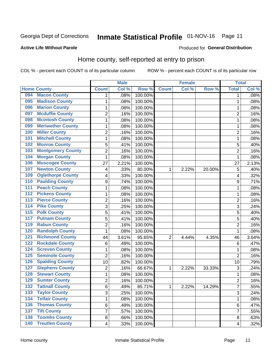## Inmate Statistical Profile 01-NOV-16 Page 11

### **Active Life Without Parole**

## Produced for General Distribution

## Home county, self-reported at entry to prison

COL % - percent each COUNT is of its particular column

|                  |                          |                         | <b>Male</b> |         |              | <b>Female</b> |        | <b>Total</b>            |       |
|------------------|--------------------------|-------------------------|-------------|---------|--------------|---------------|--------|-------------------------|-------|
|                  | <b>Home County</b>       | <b>Count</b>            | Col%        | Row %   | <b>Count</b> | Col %         | Row %  | <b>Total</b>            | Col % |
| 094              | <b>Macon County</b>      | 1                       | .08%        | 100.00% |              |               |        | 1                       | .08%  |
| 095              | <b>Madison County</b>    | $\mathbf{1}$            | .08%        | 100.00% |              |               |        | 1                       | .08%  |
| 096              | <b>Marion County</b>     | $\mathbf 1$             | .08%        | 100.00% |              |               |        | 1                       | .08%  |
| 097              | <b>Mcduffie County</b>   | $\overline{2}$          | .16%        | 100.00% |              |               |        | $\overline{2}$          | .16%  |
| 098              | <b>Mcintosh County</b>   | $\mathbf 1$             | .08%        | 100.00% |              |               |        | 1                       | .08%  |
| 099              | <b>Meriwether County</b> | $\mathbf 1$             | .08%        | 100.00% |              |               |        | 1                       | .08%  |
| 100              | <b>Miller County</b>     | $\overline{c}$          | .16%        | 100.00% |              |               |        | $\overline{c}$          | .16%  |
| 101              | <b>Mitchell County</b>   | $\mathbf{1}$            | .08%        | 100.00% |              |               |        | 1                       | .08%  |
| 102              | <b>Monroe County</b>     | 5                       | .41%        | 100.00% |              |               |        | 5                       | .40%  |
| 103              | <b>Montgomery County</b> | $\overline{c}$          | .16%        | 100.00% |              |               |        | $\overline{2}$          | .16%  |
| 104              | <b>Morgan County</b>     | $\mathbf{1}$            | .08%        | 100.00% |              |               |        | 1                       | .08%  |
| 106              | <b>Muscogee County</b>   | 27                      | 2.21%       | 100.00% |              |               |        | 27                      | 2.13% |
| 107              | <b>Newton County</b>     | 4                       | .33%        | 80.00%  | 1            | 2.22%         | 20.00% | 5                       | .40%  |
| 109              | <b>Oglethorpe County</b> | 4                       | .33%        | 100.00% |              |               |        | $\overline{\mathbf{4}}$ | .32%  |
| 110              | <b>Paulding County</b>   | $\boldsymbol{9}$        | .74%        | 100.00% |              |               |        | 9                       | .71%  |
| 111              | <b>Peach County</b>      | $\mathbf{1}$            | .08%        | 100.00% |              |               |        | 1                       | .08%  |
| $\overline{112}$ | <b>Pickens County</b>    | $\mathbf 1$             | .08%        | 100.00% |              |               |        | 1                       | .08%  |
| $\overline{113}$ | <b>Pierce County</b>     | $\overline{\mathbf{c}}$ | .16%        | 100.00% |              |               |        | $\overline{2}$          | .16%  |
| 114              | <b>Pike County</b>       | 3                       | .25%        | 100.00% |              |               |        | 3                       | .24%  |
| $\overline{115}$ | <b>Polk County</b>       | 5                       | .41%        | 100.00% |              |               |        | $\overline{5}$          | .40%  |
| 117              | <b>Putnam County</b>     | 5                       | .41%        | 100.00% |              |               |        | 5                       | .40%  |
| 119              | <b>Rabun County</b>      | $\overline{c}$          | .16%        | 100.00% |              |               |        | $\overline{2}$          | .16%  |
| 120              | <b>Randolph County</b>   | $\mathbf{1}$            | .08%        | 100.00% |              |               |        | 1                       | .08%  |
| 121              | <b>Richmond County</b>   | 44                      | 3.61%       | 95.65%  | 2            | 4.44%         | 4.35%  | 46                      | 3.64% |
| 122              | <b>Rockdale County</b>   | 6                       | .49%        | 100.00% |              |               |        | 6                       | .47%  |
| 124              | <b>Screven County</b>    | $\mathbf 1$             | .08%        | 100.00% |              |               |        | 1                       | .08%  |
| 125              | <b>Seminole County</b>   | $\overline{2}$          | .16%        | 100.00% |              |               |        | $\overline{2}$          | .16%  |
| 126              | <b>Spalding County</b>   | 10                      | .82%        | 100.00% |              |               |        | 10                      | .79%  |
| 127              | <b>Stephens County</b>   | $\overline{2}$          | .16%        | 66.67%  | 1            | 2.22%         | 33.33% | 3                       | .24%  |
| 128              | <b>Stewart County</b>    | $\mathbf 1$             | .08%        | 100.00% |              |               |        | 1                       | .08%  |
| 129              | <b>Sumter County</b>     | $\overline{2}$          | .16%        | 100.00% |              |               |        | $\overline{2}$          | .16%  |
| 132              | <b>Tattnall County</b>   | 6                       | .49%        | 85.71%  | 1            | 2.22%         | 14.29% | 7                       | .55%  |
| 133              | <b>Taylor County</b>     | $\overline{3}$          | .25%        | 100.00% |              |               |        | 3                       | .24%  |
| 134              | <b>Telfair County</b>    | $\mathbf{1}$            | .08%        | 100.00% |              |               |        | 1                       | .08%  |
| 136              | <b>Thomas County</b>     | 6                       | .49%        | 100.00% |              |               |        | 6                       | .47%  |
| 137              | <b>Tift County</b>       | $\overline{7}$          | .57%        | 100.00% |              |               |        | 7                       | .55%  |
| 138              | <b>Toombs County</b>     | 8                       | .66%        | 100.00% |              |               |        | 8                       | .63%  |
| 140              | <b>Treutlen County</b>   | $\overline{\mathbf{4}}$ | .33%        | 100.00% |              |               |        | 4                       | .32%  |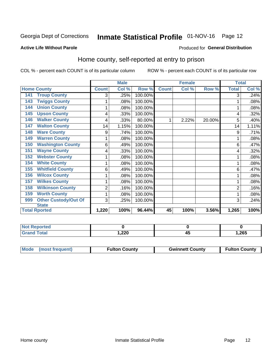## Inmate Statistical Profile 01-NOV-16 Page 12

### **Active Life Without Parole**

### Produced for General Distribution

## Home county, self-reported at entry to prison

COL % - percent each COUNT is of its particular column

|                                    |              | <b>Male</b> |         | <b>Female</b> |       | <b>Total</b> |              |       |
|------------------------------------|--------------|-------------|---------|---------------|-------|--------------|--------------|-------|
| <b>Home County</b>                 | <b>Count</b> | Col %       | Row %   | <b>Count</b>  | Col % | Row %        | <b>Total</b> | Col % |
| <b>Troup County</b><br>141         | 3            | .25%        | 100.00% |               |       |              | 3            | .24%  |
| <b>Twiggs County</b><br>143        | 1            | .08%        | 100.00% |               |       |              |              | .08%  |
| <b>Union County</b><br>144         | 1            | .08%        | 100.00% |               |       |              |              | .08%  |
| <b>Upson County</b><br>145         | 4            | .33%        | 100.00% |               |       |              | 4            | .32%  |
| <b>Walker County</b><br>146        | 4            | .33%        | 80.00%  |               | 2.22% | 20.00%       | 5            | .40%  |
| <b>Walton County</b><br>147        | 14           | 1.15%       | 100.00% |               |       |              | 14           | 1.11% |
| <b>Ware County</b><br>148          | 9            | .74%        | 100.00% |               |       |              | 9            | .71%  |
| <b>Warren County</b><br>149        | 1            | .08%        | 100.00% |               |       |              |              | .08%  |
| <b>Washington County</b><br>150    | 6            | .49%        | 100.00% |               |       |              | 6            | .47%  |
| <b>Wayne County</b><br>151         | 4            | .33%        | 100.00% |               |       |              | 4            | .32%  |
| <b>Webster County</b><br>152       | 1            | .08%        | 100.00% |               |       |              |              | .08%  |
| <b>White County</b><br>154         | 1            | .08%        | 100.00% |               |       |              |              | .08%  |
| <b>Whitfield County</b><br>155     | 6            | .49%        | 100.00% |               |       |              | 6            | .47%  |
| <b>Wilcox County</b><br>156        |              | .08%        | 100.00% |               |       |              |              | .08%  |
| <b>Wilkes County</b><br>157        | 1            | .08%        | 100.00% |               |       |              |              | .08%  |
| <b>Wilkinson County</b><br>158     | 2            | .16%        | 100.00% |               |       |              | 2            | .16%  |
| <b>Worth County</b><br>159         | 1            | .08%        | 100.00% |               |       |              |              | .08%  |
| <b>Other Custody/Out Of</b><br>999 | 3            | .25%        | 100.00% |               |       |              | 3            | .24%  |
| <b>State</b>                       |              |             |         |               |       |              |              |       |
| <b>Total Rported</b>               | 1,220        | 100%        | 96.44%  | 45            | 100%  | 3.56%        | 1,265        | 100%  |

| <b>Not Reported</b> |        |    |        |
|---------------------|--------|----|--------|
| <b>Grand Total</b>  | 220, ا | ᠇៶ | 265, ا |

| Mode (most frequent) | <b>Fulton County</b> | <b>Gwinnett County</b> | <b>Fulton County</b> |
|----------------------|----------------------|------------------------|----------------------|
|                      |                      |                        |                      |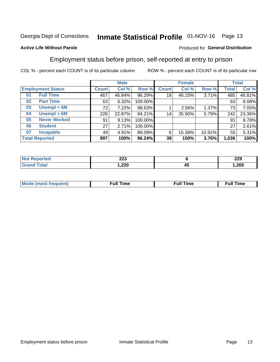## Inmate Statistical Profile 01-NOV-16 Page 13

## **Active Life Without Parole**

### Produced for General Distribution

## Employment status before prison, self-reported at entry to prison

COL % - percent each COUNT is of its particular column

|                           |              | <b>Male</b> |         |                 | <b>Female</b> | <b>Total</b> |              |        |
|---------------------------|--------------|-------------|---------|-----------------|---------------|--------------|--------------|--------|
| <b>Employment Status</b>  | <b>Count</b> | Col %       | Row %   | <b>Count</b>    | Col %         | Row %        | <b>Total</b> | Col %  |
| <b>Full Time</b><br>01    | 467          | 46.84%      | 96.29%  | 18              | 46.15%        | 3.71%        | 485          | 46.81% |
| <b>Part Time</b><br>02    | 63           | 6.32%       | 100.00% |                 |               |              | 63           | 6.08%  |
| Unempl $<$ 6M<br>03       | 72           | 7.22%       | 98.63%  |                 | 2.56%         | 1.37%        | 73           | 7.05%  |
| Unempl > 6M<br>04         | 228          | 22.87%      | 94.21%  | 14              | 35.90%        | 5.79%        | 242          | 23.36% |
| <b>Never Worked</b><br>05 | 91           | 9.13%       | 100.00% |                 |               |              | 91           | 8.78%  |
| <b>Student</b><br>06      | 27           | 2.71%       | 100.00% |                 |               |              | 27           | 2.61%  |
| <b>Incapable</b><br>07    | 49           | 4.91%       | 89.09%  | 6               | 15.38%        | 10.91%       | 55           | 5.31%  |
| <b>Total Reported</b>     | 997          | 100%        | 96.24%  | 39 <sup>1</sup> | 100%          | 3.76%        | 1,036        | 100%   |

| nns<br>ZZJ<br>$\sim$ |    | 229   |
|----------------------|----|-------|
| 1,220                | 45 | 1,265 |

| Mc | ∴ull | ----<br>ıme<br>w |
|----|------|------------------|
|    |      |                  |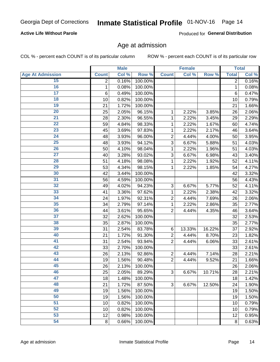## **Active Life Without Parole**

Produced for General Distribution

## Age at admission

COL % - percent each COUNT is of its particular column

|                         |                 | <b>Male</b> |         |                | <b>Female</b> |        |              | <b>Total</b> |
|-------------------------|-----------------|-------------|---------|----------------|---------------|--------|--------------|--------------|
| <b>Age At Admission</b> | <b>Count</b>    | Col %       | Row %   | <b>Count</b>   | Col %         | Row %  | <b>Total</b> | Col %        |
| 15                      | 2               | 0.16%       | 100.00% |                |               |        | 2            | 0.16%        |
| 16                      | 1               | 0.08%       | 100.00% |                |               |        | 1            | 0.08%        |
| $\overline{17}$         | $6\phantom{1}6$ | 0.49%       | 100.00% |                |               |        | 6            | 0.47%        |
| 18                      | 10              | 0.82%       | 100.00% |                |               |        | 10           | 0.79%        |
| 19                      | 21              | 1.72%       | 100.00% |                |               |        | 21           | 1.66%        |
| $\overline{20}$         | 25              | 2.05%       | 96.15%  | 1              | 2.22%         | 3.85%  | 26           | 2.06%        |
| 21                      | 28              | 2.30%       | 96.55%  | 1              | 2.22%         | 3.45%  | 29           | 2.29%        |
| 22                      | 59              | 4.84%       | 98.33%  | 1              | 2.22%         | 1.67%  | 60           | 4.74%        |
| 23                      | 45              | 3.69%       | 97.83%  | 1              | 2.22%         | 2.17%  | 46           | 3.64%        |
| 24                      | 48              | 3.93%       | 96.00%  | $\overline{2}$ | 4.44%         | 4.00%  | 50           | 3.95%        |
| $\overline{25}$         | 48              | 3.93%       | 94.12%  | 3              | 6.67%         | 5.88%  | 51           | 4.03%        |
| 26                      | 50              | 4.10%       | 98.04%  | 1              | 2.22%         | 1.96%  | 51           | 4.03%        |
| $\overline{27}$         | 40              | 3.28%       | 93.02%  | 3              | 6.67%         | 6.98%  | 43           | 3.40%        |
| 28                      | 51              | 4.18%       | 98.08%  | 1              | 2.22%         | 1.92%  | 52           | 4.11%        |
| 29                      | 53              | 4.34%       | 98.15%  | 1              | 2.22%         | 1.85%  | 54           | 4.27%        |
| 30                      | 42              | 3.44%       | 100.00% |                |               |        | 42           | 3.32%        |
| 31                      | 56              | 4.59%       | 100.00% |                |               |        | 56           | 4.43%        |
| 32                      | 49              | 4.02%       | 94.23%  | 3              | 6.67%         | 5.77%  | 52           | 4.11%        |
| 33                      | 41              | 3.36%       | 97.62%  | 1              | 2.22%         | 2.38%  | 42           | 3.32%        |
| 34                      | 24              | 1.97%       | 92.31%  | $\overline{2}$ | 4.44%         | 7.69%  | 26           | 2.06%        |
| 35                      | 34              | 2.79%       | 97.14%  | 1              | 2.22%         | 2.86%  | 35           | 2.77%        |
| 36                      | 44              | 3.61%       | 95.65%  | $\overline{2}$ | 4.44%         | 4.35%  | 46           | 3.64%        |
| $\overline{37}$         | 32              | 2.62%       | 100.00% |                |               |        | 32           | 2.53%        |
| 38                      | 35              | 2.87%       | 100.00% |                |               |        | 35           | 2.77%        |
| 39                      | 31              | 2.54%       | 83.78%  | 6              | 13.33%        | 16.22% | 37           | 2.92%        |
| 40                      | 21              | 1.72%       | 91.30%  | $\overline{2}$ | 4.44%         | 8.70%  | 23           | 1.82%        |
| 41                      | 31              | 2.54%       | 93.94%  | $\overline{2}$ | 4.44%         | 6.06%  | 33           | 2.61%        |
| 42                      | 33              | 2.70%       | 100.00% |                |               |        | 33           | 2.61%        |
| 43                      | 26              | 2.13%       | 92.86%  | $\overline{2}$ | 4.44%         | 7.14%  | 28           | 2.21%        |
| 44                      | 19              | 1.56%       | 90.48%  | $\overline{2}$ | 4.44%         | 9.52%  | 21           | 1.66%        |
| 45                      | 26              | 2.13%       | 100.00% |                |               |        | 26           | 2.06%        |
| 46                      | 25              | 2.05%       | 89.29%  | 3              | 6.67%         | 10.71% | 28           | 2.21%        |
| 47                      | 18              | 1.48%       | 100.00% |                |               |        | 18           | 1.42%        |
| 48                      | 21              | 1.72%       | 87.50%  | 3              | 6.67%         | 12.50% | 24           | 1.90%        |
| 49                      | 19              | 1.56%       | 100.00% |                |               |        | 19           | 1.50%        |
| 50                      | 19              | 1.56%       | 100.00% |                |               |        | 19           | 1.50%        |
| $\overline{51}$         | 10              | 0.82%       | 100.00% |                |               |        | 10           | 0.79%        |
| 52                      | 10              | 0.82%       | 100.00% |                |               |        | 10           | 0.79%        |
| 53                      | 12              | 0.98%       | 100.00% |                |               |        | 12           | 0.95%        |
| 54                      | 8               | 0.66%       | 100.00% |                |               |        | 8            | 0.63%        |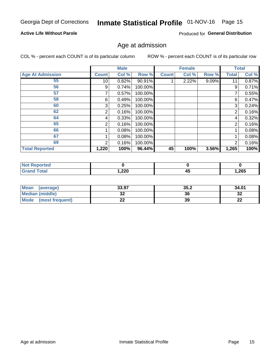## Inmate Statistical Profile 01-NOV-16 Page 15

## **Active Life Without Parole**

Produced for General Distribution

## Age at admission

COL % - percent each COUNT is of its particular column

|                         |                 | <b>Male</b> |         |              | <b>Female</b> |       |                | <b>Total</b> |
|-------------------------|-----------------|-------------|---------|--------------|---------------|-------|----------------|--------------|
| <b>Age At Admission</b> | <b>Count</b>    | Col %       | Row %   | <b>Count</b> | Col %         | Row % | Total          | Col %        |
| 55                      | 10 <sup>1</sup> | 0.82%       | 90.91%  |              | 2.22%         | 9.09% | 11             | 0.87%        |
| 56                      | 9               | 0.74%       | 100.00% |              |               |       | 9              | 0.71%        |
| 57                      |                 | 0.57%       | 100.00% |              |               |       | 7              | 0.55%        |
| 58                      | 6               | 0.49%       | 100.00% |              |               |       | 6              | 0.47%        |
| 60                      | 3               | 0.25%       | 100.00% |              |               |       | 3              | 0.24%        |
| 62                      | $\overline{2}$  | 0.16%       | 100.00% |              |               |       | 2              | 0.16%        |
| 64                      | 4               | 0.33%       | 100.00% |              |               |       | 4              | 0.32%        |
| 65                      | 2               | 0.16%       | 100.00% |              |               |       | $\overline{2}$ | 0.16%        |
| 66                      |                 | 0.08%       | 100.00% |              |               |       |                | 0.08%        |
| 67                      |                 | 0.08%       | 100.00% |              |               |       |                | 0.08%        |
| 69                      | 2               | 0.16%       | 100.00% |              |               |       | $\overline{2}$ | 0.16%        |
| <b>Total Reported</b>   | 1,220           | 100%        | 96.44%  | 45           | 100%          | 3.56% | 1,265          | 100%         |

| <b>Not Reported</b> |        |      |       |
|---------------------|--------|------|-------|
| <b>Total</b>        | 220, ا | ี 4ะ | 1,265 |

| <b>Mean</b><br>(average)       | 33.97    | 35.2 | 34.01    |
|--------------------------------|----------|------|----------|
| <b>Median (middle)</b>         | ົ<br>◡▵  | 36   | ົາ<br>⊾ت |
| <b>Mode</b><br>(most frequent) | ^^<br>-- | 39   | n.<br>44 |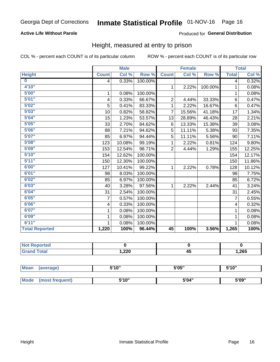## **Active Life Without Parole**

### Produced for General Distribution

## Height, measured at entry to prison

COL % - percent each COUNT is of its particular column

|                         |              | <b>Male</b> |         |                | <b>Female</b> |         |                         | <b>Total</b> |
|-------------------------|--------------|-------------|---------|----------------|---------------|---------|-------------------------|--------------|
| <b>Height</b>           | <b>Count</b> | Col %       | Row %   | <b>Count</b>   | Col %         | Row %   | <b>Total</b>            | Col %        |
| $\overline{\mathbf{0}}$ | 4            | 0.33%       | 100.00% |                |               |         | 4                       | 0.32%        |
| 4'10"                   |              |             |         | $\mathbf{1}$   | 2.22%         | 100.00% | 1                       | 0.08%        |
| 5'00''                  | 1            | 0.08%       | 100.00% |                |               |         | 1                       | 0.08%        |
| 5'01"                   | 4            | 0.33%       | 66.67%  | $\overline{2}$ | 4.44%         | 33.33%  | 6                       | 0.47%        |
| 5'02"                   | 5            | 0.41%       | 83.33%  | 1              | 2.22%         | 16.67%  | 6                       | 0.47%        |
| 5'03''                  | 10           | 0.82%       | 58.82%  | $\overline{7}$ | 15.56%        | 41.18%  | 17                      | 1.34%        |
| 5'04"                   | 15           | 1.23%       | 53.57%  | 13             | 28.89%        | 46.43%  | 28                      | 2.21%        |
| 5'05"                   | 33           | 2.70%       | 84.62%  | 6              | 13.33%        | 15.38%  | 39                      | 3.08%        |
| 5'06''                  | 88           | 7.21%       | 94.62%  | 5              | 11.11%        | 5.38%   | 93                      | 7.35%        |
| 5'07''                  | 85           | 6.97%       | 94.44%  | 5              | 11.11%        | 5.56%   | 90                      | 7.11%        |
| 5'08''                  | 123          | 10.08%      | 99.19%  | 1              | 2.22%         | 0.81%   | 124                     | 9.80%        |
| 5'09''                  | 153          | 12.54%      | 98.71%  | $\overline{2}$ | 4.44%         | 1.29%   | 155                     | 12.25%       |
| 5'10''                  | 154          | 12.62%      | 100.00% |                |               |         | 154                     | 12.17%       |
| 5'11''                  | 150          | 12.30%      | 100.00% |                |               |         | 150                     | 11.86%       |
| 6'00''                  | 127          | 10.41%      | 99.22%  | $\mathbf{1}$   | 2.22%         | 0.78%   | 128                     | 10.12%       |
| 6'01''                  | 98           | 8.03%       | 100.00% |                |               |         | 98                      | 7.75%        |
| 6'02"                   | 85           | 6.97%       | 100.00% |                |               |         | 85                      | 6.72%        |
| 6'03''                  | 40           | 3.28%       | 97.56%  | $\mathbf{1}$   | 2.22%         | 2.44%   | 41                      | 3.24%        |
| 6'04"                   | 31           | 2.54%       | 100.00% |                |               |         | 31                      | 2.45%        |
| 6'05"                   | 7            | 0.57%       | 100.00% |                |               |         | $\overline{7}$          | 0.55%        |
| 6'06''                  | 4            | 0.33%       | 100.00% |                |               |         | $\overline{\mathbf{4}}$ | 0.32%        |
| 6'07''                  | 1            | 0.08%       | 100.00% |                |               |         | 1                       | 0.08%        |
| 6'09''                  | 1            | 0.08%       | 100.00% |                |               |         | 1                       | 0.08%        |
| 6'11''                  | 1            | 0.08%       | 100.00% |                |               |         |                         | 0.08%        |
| <b>Total Reported</b>   | 1,220        | 100%        | 96.44%  | 45             | 100%          | 3.56%   | 1,265                   | 100%         |

| NOT<br>rtea<br>$\sim$ |        |                |      |
|-----------------------|--------|----------------|------|
| $\sim$                | 220, ا | . .<br>д.<br>⊸ | ,265 |

| <b>Mean</b> | (average)       | 5'10" | 5'05" | 5'10" |
|-------------|-----------------|-------|-------|-------|
|             |                 |       |       |       |
| Mode        | (most frequent) | 5'10" | 5'04" | 5'09" |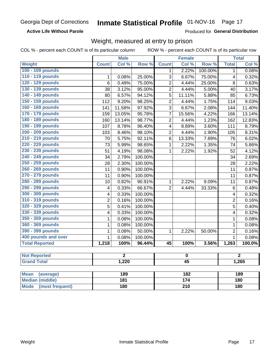**Active Life Without Parole** 

Produced for General Distribution

## Weight, measured at entry to prison

COL % - percent each COUNT is of its particular column

ROW % - percent each COUNT is of its particular row

|                                |                          | <b>Male</b>      |         |                  | <b>Female</b>    |         |                | <b>Total</b>   |  |
|--------------------------------|--------------------------|------------------|---------|------------------|------------------|---------|----------------|----------------|--|
| <b>Weight</b>                  | <b>Count</b>             | Col %            | Row %   | <b>Count</b>     | Col %            | Row %   | <b>Total</b>   | Col %          |  |
| 100 - 109 pounds               |                          |                  |         | 1                | 2.22%            | 100.00% | $\mathbf 1$    | 0.08%          |  |
| 110 - 119 pounds               | $\mathbf{1}$             | 0.08%            | 25.00%  | 3                | 6.67%            | 75.00%  | 4              | 0.32%          |  |
| 120 - 129 pounds               | $\overline{6}$           | 0.49%            | 75.00%  | $\overline{c}$   | 4.44%            | 25.00%  | 8              | 0.63%          |  |
| 130 - 139 pounds               | 38                       | 3.12%            | 95.00%  | $\overline{2}$   | 4.44%            | 5.00%   | 40             | 3.17%          |  |
| 140 - 149 pounds               | 80                       | 6.57%            | 94.12%  | 5                | 11.11%           | 5.88%   | 85             | 6.73%          |  |
| 150 - 159 pounds               | 112                      | 9.20%            | 98.25%  | $\overline{2}$   | 4.44%            | 1.75%   | 114            | 9.03%          |  |
| 160 - 169 pounds               | 141                      | 11.58%           | 97.92%  | $\overline{3}$   | 6.67%            | 2.08%   | 144            | 11.40%         |  |
| 170 - 179 pounds               | 159                      | 13.05%           | 95.78%  | $\overline{7}$   | 15.56%           | 4.22%   | 166            | 13.14%         |  |
| 180 - 189 pounds               | 160                      | 13.14%           | 98.77%  | $\overline{2}$   | 4.44%            | 1.23%   | 162            | 12.83%         |  |
| 190 - 199 pounds               | 107                      | 8.78%            | 96.40%  | 4                | 8.89%            | 3.60%   | 111            | 8.79%          |  |
| 200 - 209 pounds               | 103                      | 8.46%            | 98.10%  | $\overline{2}$   | 4.44%            | 1.90%   | 105            | 8.31%          |  |
| 210 - 219 pounds               | 70                       | 5.75%            | 92.11%  | 6                | 13.33%           | 7.89%   | 76             | 6.02%          |  |
| 220 - 229 pounds               | 73                       | 5.99%            | 98.65%  | $\mathbf{1}$     | 2.22%            | 1.35%   | 74             | 5.86%          |  |
| 230 - 239 pounds               | 51                       | 4.19%            | 98.08%  | $\mathbf{1}$     | 2.22%            | 1.92%   | 52             | 4.12%          |  |
| 240 - 249 pounds               | 34                       | 2.79%            | 100.00% |                  |                  |         | 34             | 2.69%          |  |
| 250 - 259 pounds               | 28                       | 2.30%            | 100.00% |                  |                  |         | 28             | 2.22%          |  |
| 260 - 269 pounds               | 11                       | 0.90%            | 100.00% |                  |                  |         | 11             | 0.87%          |  |
| 270 - 279 pounds               | 11                       | 0.90%            | 100.00% |                  |                  |         | 11             | 0.87%          |  |
| 280 - 289 pounds               | 10                       | 0.82%            | 90.91%  | $\mathbf{1}$     | 2.22%            | 9.09%   | 11             | 0.87%          |  |
| 290 - 299 pounds               | 4                        | 0.33%            | 66.67%  | $\overline{2}$   | 4.44%            | 33.33%  | 6              | 0.48%          |  |
| 300 - 309 pounds               | 4                        | 0.33%            | 100.00% |                  |                  |         | 4              | 0.32%          |  |
| 310 - 319 pounds               | $\overline{2}$           | 0.16%            | 100.00% |                  |                  |         | $\overline{2}$ | 0.16%          |  |
| 320 - 329 pounds               | 5                        | 0.41%            | 100.00% |                  |                  |         | 5              | 0.40%          |  |
| 330 - 339 pounds               | 4                        | 0.33%            | 100.00% |                  |                  |         | 4              | 0.32%          |  |
| 350 - 359 pounds               | 1                        | 0.08%            | 100.00% |                  |                  |         | $\mathbf{1}$   | 0.08%          |  |
| 360 - 369 pounds               | 1                        | 0.08%            | 100.00% |                  |                  |         | $\mathbf{1}$   | 0.08%          |  |
| 390 - 399 pounds               | 1                        | 0.08%            | 50.00%  | 1                | 2.22%            | 50.00%  | $\overline{2}$ | 0.16%          |  |
| 400 pounds and over            | $\mathbf{1}$             | 0.08%            | 100.00% |                  |                  |         | $\mathbf{1}$   | 0.08%          |  |
| <b>Total Reported</b>          | 1,218                    | 100%             | 96.44%  | 45               | 100%             | 3.56%   | 1,263          | 100.0%         |  |
| <b>Not Reported</b>            |                          | $\overline{2}$   |         |                  | $\pmb{0}$        |         |                | $\overline{2}$ |  |
| <b>Grand Total</b>             | 1,220<br>$\overline{45}$ |                  |         |                  | 1,265            |         |                |                |  |
|                                |                          |                  |         |                  |                  |         |                |                |  |
| <b>Mean</b><br>(average)       |                          | 189              |         |                  | 182              |         | 189            |                |  |
| <b>Median (middle)</b>         |                          | $\overline{181}$ |         |                  | $\overline{174}$ |         |                | 180            |  |
| <b>Mode</b><br>(most frequent) |                          | <b>180</b>       |         | $\overline{210}$ |                  |         | 180            |                |  |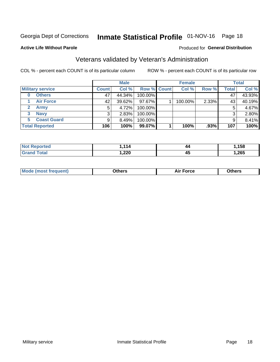## Inmate Statistical Profile 01-NOV-16 Page 18

### **Active Life Without Parole**

### Produced for General Distribution

## Veterans validated by Veteran's Administration

COL % - percent each COUNT is of its particular column

|                               |              | <b>Male</b> |                    | <b>Female</b> |       |              | <b>Total</b> |
|-------------------------------|--------------|-------------|--------------------|---------------|-------|--------------|--------------|
| <b>Military service</b>       | <b>Count</b> | Col %       | <b>Row % Count</b> | Col %         | Row % | <b>Total</b> | Col %        |
| <b>Others</b>                 | 47           | 44.34%      | 100.00%            |               |       | 47           | 43.93%       |
| <b>Air Force</b>              | 42           | 39.62%      | 97.67%             | 100.00%       | 2.33% | 43           | 40.19%       |
| $\mathbf{2}^-$<br><b>Army</b> | 5            | 4.72%       | 100.00%            |               |       | 5            | 4.67%        |
| <b>Navy</b><br>3              | 3            | 2.83%       | 100.00%            |               |       | 3            | 2.80%        |
| <b>Coast Guard</b><br>5.      | 9            | 8.49%       | 100.00%            |               |       | 9            | 8.41%        |
| <b>Total Reported</b>         | 106          | 100%        | 99.07%             | 100%          | .93%  | 107          | 100%         |

| neo         | 11.         | 44              | 158   |
|-------------|-------------|-----------------|-------|
| N           |             |                 |       |
| $F = 4 - 7$ | חרר<br>,22U | . .<br>,,,<br>∼ | 1,265 |

| <b>Moo.</b> |
|-------------|
|-------------|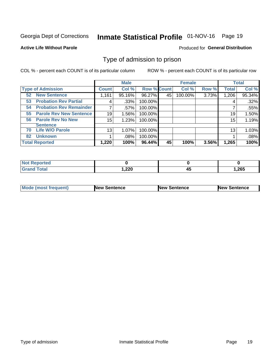## Inmate Statistical Profile 01-NOV-16 Page 19

### **Active Life Without Parole**

### Produced for General Distribution

## Type of admission to prison

COL % - percent each COUNT is of its particular column

|                                      |              | <b>Male</b> |                    |    | <b>Female</b> |       |              | <b>Total</b> |
|--------------------------------------|--------------|-------------|--------------------|----|---------------|-------|--------------|--------------|
| <b>Type of Admission</b>             | <b>Count</b> | Col %       | <b>Row % Count</b> |    | Col %         | Row % | <b>Total</b> | Col %        |
| <b>New Sentence</b><br>52            | 1,161        | 95.16%      | 96.27%             | 45 | 100.00%       | 3.73% | 1,206        | 95.34%       |
| <b>Probation Rev Partial</b><br>53   | 4            | .33%        | 100.00%            |    |               |       | 4            | .32%         |
| <b>Probation Rev Remainder</b><br>54 |              | $.57\%$     | 100.00%            |    |               |       |              | .55%         |
| <b>Parole Rev New Sentence</b><br>55 | 19           | 1.56%       | 100.00%            |    |               |       | 19           | 1.50%        |
| <b>Parole Rev No New</b><br>56       | 15           | 1.23%       | 100.00%            |    |               |       | 15           | 1.19%        |
| <b>Sentence</b>                      |              |             |                    |    |               |       |              |              |
| <b>Life W/O Parole</b><br>70         | 13           | 1.07%       | 100.00%            |    |               |       | 13           | 1.03%        |
| <b>Unknown</b><br>82                 |              | .08%        | 100.00%            |    |               |       |              | .08%         |
| <b>Total Reported</b>                | 1,220        | 100%        | 96.44%             | 45 | 100%          | 3.56% | 1,265        | 100%         |

| <b>Not Reported</b>          |       |    |        |
|------------------------------|-------|----|--------|
| <b>Total</b><br><b>Grand</b> | 1,220 | −™ | 265, ا |

| Mode (most frequent) | <b>New Sentence</b> | <b>New Sentence</b> | <b>New Sentence</b> |
|----------------------|---------------------|---------------------|---------------------|
|                      |                     |                     |                     |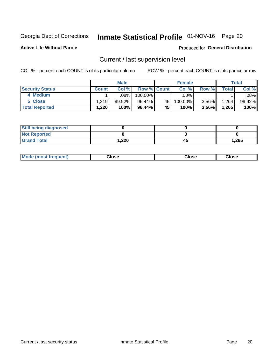## Inmate Statistical Profile 01-NOV-16 Page 20

**Active Life Without Parole** 

### Produced for General Distribution

## Current / last supervision level

COL % - percent each COUNT is of its particular column

|                        |              | <b>Male</b> |                    |    | <b>Female</b> |          |       | <b>Total</b> |
|------------------------|--------------|-------------|--------------------|----|---------------|----------|-------|--------------|
| <b>Security Status</b> | <b>Count</b> | Col%        | <b>Row % Count</b> |    | Col %         | Row %    | Total | Col %        |
| 4 Medium               |              | .08%        | 100.00%            |    | .00%          |          |       | .08%         |
| 5 Close                | 1.219        | 99.92%      | 96.44%             | 45 | 100.00%       | $3.56\%$ | .264  | 99.92%       |
| <b>Total Reported</b>  | 1,220        | 100%        | $96.44\%$          | 45 | 100%          | 3.56%    | 1,265 | 100%         |

| <b>Still being diagnosed</b> |       |    |       |
|------------------------------|-------|----|-------|
| <b>Not Reported</b>          |       |    |       |
| <b>Grand Total</b>           | 1,220 | 45 | 1,265 |

| <b>Mode (most frequent)</b> | Close | ∵lose | Close |
|-----------------------------|-------|-------|-------|
|                             |       |       |       |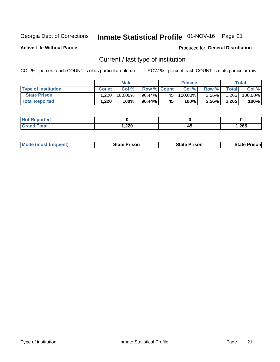## Inmate Statistical Profile 01-NOV-16 Page 21

**Active Life Without Parole** 

Produced for General Distribution

## Current / last type of institution

COL % - percent each COUNT is of its particular column

|                            |              | <b>Male</b> |                    |                 | <b>Female</b> |          |             | <b>Total</b> |
|----------------------------|--------------|-------------|--------------------|-----------------|---------------|----------|-------------|--------------|
| <b>Type of Institution</b> | <b>Count</b> | Col%        | <b>Row % Count</b> |                 | Col %         | Row %    | $\tau$ otal | Col %        |
| <b>State Prison</b>        | 1.220        | $100.00\%$  | $96.44\%$          | 45              | $100.00\%$    | $3.56\%$ | 1,265       | 100.00%      |
| <b>Total Reported</b>      | 1,220        | 100%        | $96.44\%$          | 45 <sup>1</sup> | $100\%$       | $3.56\%$ | 1,265       | 100%         |

| ueo<br>$\sim$ |              |    |       |
|---------------|--------------|----|-------|
|               | חרר<br>.,ZZU | 45 | 1,265 |

|  | <b>Mode (most frequent)</b> | State Prison | <b>State Prison</b> | <b>State Prison</b> |
|--|-----------------------------|--------------|---------------------|---------------------|
|--|-----------------------------|--------------|---------------------|---------------------|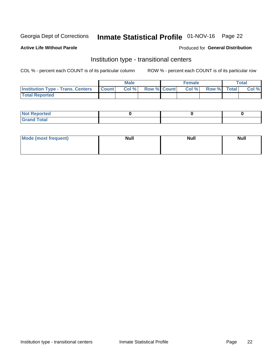## Inmate Statistical Profile 01-NOV-16 Page 22

## **Active Life Without Parole**

### Produced for General Distribution

## Institution type - transitional centers

COL % - percent each COUNT is of its particular column

|                                                  | <b>Male</b> |                    | <b>Female</b> |             | Total |
|--------------------------------------------------|-------------|--------------------|---------------|-------------|-------|
| <b>Institution Type - Trans. Centers Count  </b> | Col%        | <b>Row % Count</b> | Col %         | Row % Total | Col % |
| <b>Total Reported</b>                            |             |                    |               |             |       |

| <b>Reported</b><br><b>NOT</b><br>$\sim$            |  |  |
|----------------------------------------------------|--|--|
| $f$ $f \circ f \circ f$<br>$C = 1$<br><b>TULAI</b> |  |  |

| Mode (most frequent) | <b>Null</b> | <b>Null</b> | <b>Null</b> |
|----------------------|-------------|-------------|-------------|
|                      |             |             |             |
|                      |             |             |             |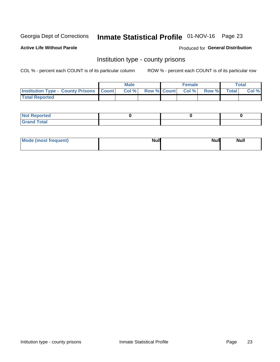## Inmate Statistical Profile 01-NOV-16 Page 23

**Active Life Without Parole** 

Produced for General Distribution

## Institution type - county prisons

COL % - percent each COUNT is of its particular column

|                                                    | <b>Male</b> |       |  | <b>Female</b> |                          |             | <b>Total</b> |       |
|----------------------------------------------------|-------------|-------|--|---------------|--------------------------|-------------|--------------|-------|
| <b>Institution Type - County Prisons   Count  </b> |             | Col % |  |               | <b>Row % Count Col %</b> | Row % Total |              | Col % |
| <b>Total Reported</b>                              |             |       |  |               |                          |             |              |       |

| <b>Not</b><br>: Reported<br> |  |  |
|------------------------------|--|--|
| <b>Total</b><br>---          |  |  |

| Mode (most frequent) | <b>Null</b> | <b>Null</b><br><b>Null</b> |
|----------------------|-------------|----------------------------|
|                      |             |                            |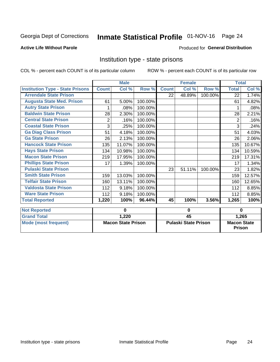## Inmate Statistical Profile 01-NOV-16 Page 24

### **Active Life Without Parole**

### Produced for General Distribution

## Institution type - state prisons

COL % - percent each COUNT is of its particular column

ROW % - percent each COUNT is of its particular row

|                                         | <b>Male</b>  |                           |         | <b>Female</b>               |                 |         | <b>Total</b>       |        |
|-----------------------------------------|--------------|---------------------------|---------|-----------------------------|-----------------|---------|--------------------|--------|
| <b>Institution Type - State Prisons</b> | <b>Count</b> | Col %                     | Row %   | <b>Count</b>                | Col %           | Row %   | <b>Total</b>       | Col %  |
| <b>Arrendale State Prison</b>           |              |                           |         | 22                          | 48.89%          | 100.00% | 22                 | 1.74%  |
| <b>Augusta State Med. Prison</b>        | 61           | 5.00%                     | 100.00% |                             |                 |         | 61                 | 4.82%  |
| <b>Autry State Prison</b>               |              | .08%                      | 100.00% |                             |                 |         |                    | .08%   |
| <b>Baldwin State Prison</b>             | 28           | 2.30%                     | 100.00% |                             |                 |         | 28                 | 2.21%  |
| <b>Central State Prison</b>             | 2            | .16%                      | 100.00% |                             |                 |         | 2                  | .16%   |
| <b>Coastal State Prison</b>             | 3            | .25%                      | 100.00% |                             |                 |         | 3                  | .24%   |
| <b>Ga Diag Class Prison</b>             | 51           | 4.18%                     | 100.00% |                             |                 |         | 51                 | 4.03%  |
| <b>Ga State Prison</b>                  | 26           | 2.13%                     | 100.00% |                             |                 |         | 26                 | 2.06%  |
| <b>Hancock State Prison</b>             | 135          | 11.07%                    | 100.00% |                             |                 |         | 135                | 10.67% |
| <b>Hays State Prison</b>                | 134          | 10.98%                    | 100.00% |                             |                 |         | 134                | 10.59% |
| <b>Macon State Prison</b>               | 219          | 17.95%                    | 100.00% |                             |                 |         | 219                | 17.31% |
| <b>Phillips State Prison</b>            | 17           | 1.39%                     | 100.00% |                             |                 |         | 17                 | 1.34%  |
| <b>Pulaski State Prison</b>             |              |                           |         | 23                          | 51.11%          | 100.00% | 23                 | 1.82%  |
| <b>Smith State Prison</b>               | 159          | 13.03%                    | 100.00% |                             |                 |         | 159                | 12.57% |
| <b>Telfair State Prison</b>             | 160          | 13.11%                    | 100.00% |                             |                 |         | 160                | 12.65% |
| <b>Valdosta State Prison</b>            | 112          | 9.18%                     | 100.00% |                             |                 |         | 112                | 8.85%  |
| <b>Ware State Prison</b>                | 112          | 9.18%                     | 100.00% |                             |                 |         | 112                | 8.85%  |
| <b>Total Reported</b>                   | 1,220        | 100%                      | 96.44%  | 45                          | 100%            | 3.56%   | 1,265              | 100%   |
|                                         |              |                           |         |                             |                 |         |                    |        |
| <b>Not Reported</b>                     | 0            |                           |         | 0                           |                 |         | $\bf{0}$           |        |
| <b>Grand Total</b>                      |              | 1,220                     |         |                             | $\overline{45}$ |         | 1,265              |        |
| <b>Mode (most frequent)</b>             |              | <b>Macon State Prison</b> |         | <b>Pulaski State Prison</b> |                 |         | <b>Macon State</b> |        |

Prison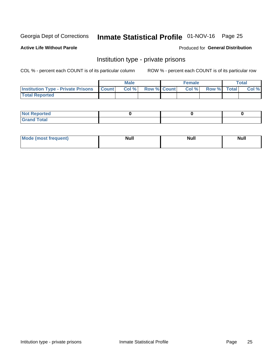## Inmate Statistical Profile 01-NOV-16 Page 25

## **Active Life Without Parole**

### Produced for General Distribution

## Institution type - private prisons

COL % - percent each COUNT is of its particular column

|                                                     | <b>Male</b> |       |                    | <b>Female</b> |       |             | Total |       |
|-----------------------------------------------------|-------------|-------|--------------------|---------------|-------|-------------|-------|-------|
| <b>Institution Type - Private Prisons   Count  </b> |             | Col % | <b>Row % Count</b> |               | Col % | Row % Total |       | Col % |
| <b>Total Reported</b>                               |             |       |                    |               |       |             |       |       |

| Not Reported           |  |  |
|------------------------|--|--|
| <b>Cotal</b><br>______ |  |  |

| <b>Mo</b><br>frequent) | <b>Null</b> | <b>Null</b> | . . I *<br><b>IVUII</b> |
|------------------------|-------------|-------------|-------------------------|
|                        |             |             |                         |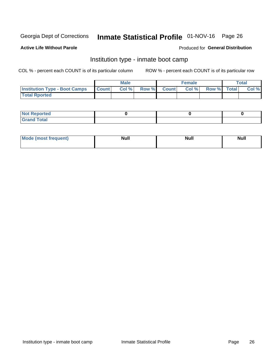## Inmate Statistical Profile 01-NOV-16 Page 26

### **Active Life Without Parole**

### Produced for General Distribution

## Institution type - inmate boot camp

COL % - percent each COUNT is of its particular column

|                                      | <b>Male</b>  |       |               |              | <b>Female</b> | <b>Total</b> |  |       |
|--------------------------------------|--------------|-------|---------------|--------------|---------------|--------------|--|-------|
| <b>Institution Type - Boot Camps</b> | <b>Count</b> | Col % | <b>Row %I</b> | <b>Count</b> | Col %         | Row % Total  |  | Col % |
| <b>Total Rported</b>                 |              |       |               |              |               |              |  |       |

| <b>Not Reported</b>            |  |  |
|--------------------------------|--|--|
| <b>Total</b><br>C <sub>r</sub> |  |  |

| Mod<br>uamo | Nul.<br>$- - - - - -$ | <b>Null</b> | <br>uu.<br>------ |
|-------------|-----------------------|-------------|-------------------|
|             |                       |             |                   |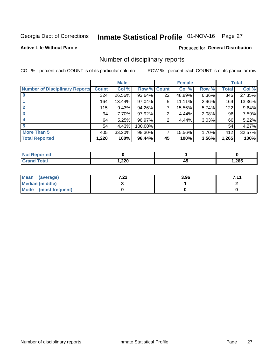## Inmate Statistical Profile 01-NOV-16 Page 27

### **Active Life Without Parole**

### Produced for General Distribution

## Number of disciplinary reports

COL % - percent each COUNT is of its particular column

|                                       | <b>Male</b>  |        |         | <b>Female</b> |        |          | <b>Total</b> |        |
|---------------------------------------|--------------|--------|---------|---------------|--------|----------|--------------|--------|
| <b>Number of Disciplinary Reports</b> | <b>Count</b> | Col %  | Row %   | <b>Count</b>  | Col %  | Row %    | Total        | Col %  |
|                                       | 324          | 26.56% | 93.64%  | 22            | 48.89% | 6.36%    | 346          | 27.35% |
|                                       | 164          | 13.44% | 97.04%  | 5             | 11.11% | 2.96%    | 169          | 13.36% |
| 2                                     | 115          | 9.43%  | 94.26%  | 7             | 15.56% | 5.74%    | 122          | 9.64%  |
| 3                                     | 94           | 7.70%  | 97.92%  | 2             | 4.44%  | 2.08%    | 96           | 7.59%  |
|                                       | 64           | 5.25%  | 96.97%  | 2             | 4.44%  | $3.03\%$ | 66           | 5.22%  |
| 5                                     | 54           | 4.43%  | 100.00% |               |        |          | 54           | 4.27%  |
| <b>More Than 5</b>                    | 405          | 33.20% | 98.30%  | 7             | 15.56% | 1.70%    | 412          | 32.57% |
| <b>Total Reported</b>                 | 1,220        | 100%   | 96.44%  | 45            | 100%   | 3.56%    | 1,265        | 100%   |

| NO<br>тео |      |   |       |
|-----------|------|---|-------|
| Гоtal     | ,220 | ᠇ | 1,265 |

| Mean (average)       | ר ר<br>$\mathbf{L}$ | 3.96 | 711 |
|----------------------|---------------------|------|-----|
| Median (middle)      |                     |      |     |
| Mode (most frequent) |                     |      |     |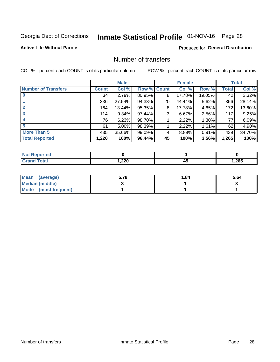## Inmate Statistical Profile 01-NOV-16 Page 28

### **Active Life Without Parole**

### Produced for General Distribution

## Number of transfers

COL % - percent each COUNT is of its particular column

|                            | <b>Male</b> |          | <b>Female</b> |    |        | <b>Total</b> |       |        |
|----------------------------|-------------|----------|---------------|----|--------|--------------|-------|--------|
| <b>Number of Transfers</b> | Count l     | Col %    | Row % Count   |    | Col %  | Row %        | Total | Col %  |
|                            | 34          | 2.79%    | 80.95%        | 8  | 17.78% | 19.05%       | 42    | 3.32%  |
|                            | 336         | 27.54%   | 94.38%        | 20 | 44.44% | 5.62%        | 356   | 28.14% |
| 2                          | 164         | 13.44%   | 95.35%        | 8  | 17.78% | 4.65%        | 172   | 13.60% |
| 3                          | 114         | $9.34\%$ | 97.44%        | 3  | 6.67%  | $2.56\%$     | 117   | 9.25%  |
|                            | 76          | 6.23%    | 98.70%        |    | 2.22%  | 1.30%        | 77    | 6.09%  |
| 5                          | 61          | $5.00\%$ | 98.39%        |    | 2.22%  | $1.61\%$     | 62    | 4.90%  |
| <b>More Than 5</b>         | 435         | 35.66%   | 99.09%        | 4  | 8.89%  | 0.91%        | 439   | 34.70% |
| <b>Total Reported</b>      | 1,220       | 100%     | 96.44%        | 45 | 100%   | 3.56%        | 1,265 | 100%   |

| NO<br>тео |      |   |       |
|-----------|------|---|-------|
| Гоtal     | ,220 | ᠇ | 1,265 |

| Mean (average)         | 5.78 | 1.84 | 5.64 |
|------------------------|------|------|------|
| <b>Median (middle)</b> |      |      |      |
| Mode (most frequent)   |      |      |      |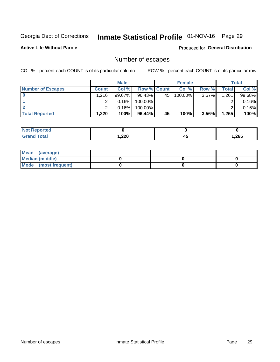## Inmate Statistical Profile 01-NOV-16 Page 29

**Active Life Without Parole** 

Produced for General Distribution

## Number of escapes

COL % - percent each COUNT is of its particular column

|                          | <b>Male</b>  |           |                    | <b>Female</b> |         |          | Total |        |
|--------------------------|--------------|-----------|--------------------|---------------|---------|----------|-------|--------|
| <b>Number of Escapes</b> | <b>Count</b> | Col %     | <b>Row % Count</b> |               | Col %   | Row %    | Total | Col %  |
|                          | 1.216        | $99.67\%$ | $96.43\%$          | 45            | 100.00% | $3.57\%$ | 1,261 | 99.68% |
|                          |              | 0.16%     | 100.00%            |               |         |          |       | 0.16%  |
|                          |              | 0.16%     | $100.00\%$         |               |         |          |       | 0.16%  |
| <b>Total Reported</b>    | 1,220        | 100%      | $96.44\%$          | 45            | 100%    | 3.56%    | 1,265 | 100%   |

| <b>Reported</b><br><b>NOT</b> |        |          |        |
|-------------------------------|--------|----------|--------|
| Total                         | 220, ا | ⊿•<br>≖∾ | 265, ا |

| Mean (average)       |  |  |
|----------------------|--|--|
| Median (middle)      |  |  |
| Mode (most frequent) |  |  |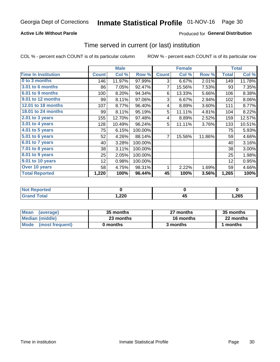## **Active Life Without Parole**

## Produced for General Distribution

## Time served in current (or last) institution

COL % - percent each COUNT is of its particular column

|                            |              | <b>Male</b> |         |              | <b>Female</b> | <b>Total</b> |              |        |
|----------------------------|--------------|-------------|---------|--------------|---------------|--------------|--------------|--------|
| <b>Time In Institution</b> | <b>Count</b> | Col %       | Row %   | <b>Count</b> | Col %         | Row %        | <b>Total</b> | Col %  |
| 0 to 3 months              | 146          | 11.97%      | 97.99%  | 3            | 6.67%         | 2.01%        | 149          | 11.78% |
| <b>3.01 to 6 months</b>    | 86           | 7.05%       | 92.47%  | 7            | 15.56%        | 7.53%        | 93           | 7.35%  |
| 6.01 to 9 months           | 100          | 8.20%       | 94.34%  | 6            | 13.33%        | 5.66%        | 106          | 8.38%  |
| 9.01 to 12 months          | 99           | 8.11%       | 97.06%  | 3            | 6.67%         | 2.94%        | 102          | 8.06%  |
| 12.01 to 18 months         | 107          | 8.77%       | 96.40%  | 4            | 8.89%         | 3.60%        | 111          | 8.77%  |
| <b>18.01 to 24 months</b>  | 99           | 8.11%       | 95.19%  | 5            | 11.11%        | 4.81%        | 104          | 8.22%  |
| $2.01$ to 3 years          | 155          | 12.70%      | 97.48%  | 4            | 8.89%         | 2.52%        | 159          | 12.57% |
| $3.01$ to 4 years          | 128          | 10.49%      | 96.24%  | 5            | 11.11%        | 3.76%        | 133          | 10.51% |
| 4.01 to 5 years            | 75           | 6.15%       | 100.00% |              |               |              | 75           | 5.93%  |
| 5.01 to 6 years            | 52           | 4.26%       | 88.14%  | 7            | 15.56%        | 11.86%       | 59           | 4.66%  |
| 6.01 to 7 years            | 40           | 3.28%       | 100.00% |              |               |              | 40           | 3.16%  |
| 7.01 to 8 years            | 38           | 3.11%       | 100.00% |              |               |              | 38           | 3.00%  |
| 8.01 to 9 years            | 25           | 2.05%       | 100.00% |              |               |              | 25           | 1.98%  |
| 9.01 to 10 years           | 12           | 0.98%       | 100.00% |              |               |              | 12           | 0.95%  |
| Over 10 years              | 58           | 4.75%       | 98.31%  | 1            | 2.22%         | 1.69%        | 59           | 4.66%  |
| <b>Total Reported</b>      | 1,220        | 100%        | 96.44%  | 45           | 100%          | 3.56%        | 1,265        | 100%   |

| <b>Not</b><br><b>Reported</b> |               |         |       |
|-------------------------------|---------------|---------|-------|
| <i>i</i> otal                 | າາດ<br>525, ا | л.<br>™ | 1,265 |

| <b>Mean</b><br>(average) | 35 months | 27 months | 35 months |
|--------------------------|-----------|-----------|-----------|
| Median (middle)          | 23 months | 16 months | 22 months |
| Mode (most frequent)     | 0 months  | 3 months  | 1 months  |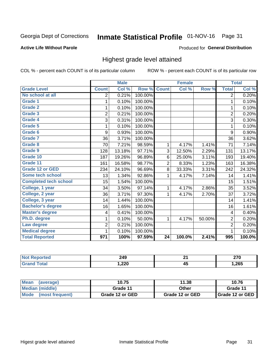## Inmate Statistical Profile 01-NOV-16 Page 31

### **Active Life Without Parole**

### Produced for General Distribution

## Highest grade level attained

COL % - percent each COUNT is of its particular column

|                              |                         | <b>Male</b> |         |                 | <b>Female</b> |        |                         | <b>Total</b> |
|------------------------------|-------------------------|-------------|---------|-----------------|---------------|--------|-------------------------|--------------|
| <b>Grade Level</b>           | <b>Count</b>            | Col %       | Row %   | <b>Count</b>    | Col %         | Row %  | <b>Total</b>            | Col %        |
| No school at all             | 2                       | 0.21%       | 100.00% |                 |               |        | 2                       | 0.20%        |
| Grade 1                      | 1                       | 0.10%       | 100.00% |                 |               |        | 1                       | 0.10%        |
| <b>Grade 2</b>               | 1                       | 0.10%       | 100.00% |                 |               |        | 1                       | 0.10%        |
| Grade 3                      | $\overline{2}$          | 0.21%       | 100.00% |                 |               |        | $\overline{2}$          | 0.20%        |
| <b>Grade 4</b>               | $\overline{3}$          | 0.31%       | 100.00% |                 |               |        | 3                       | 0.30%        |
| <b>Grade 5</b>               | 1                       | 0.10%       | 100.00% |                 |               |        | 1                       | 0.10%        |
| Grade 6                      | 9                       | 0.93%       | 100.00% |                 |               |        | 9                       | 0.90%        |
| Grade 7                      | 36                      | 3.71%       | 100.00% |                 |               |        | 36                      | 3.62%        |
| Grade 8                      | 70                      | 7.21%       | 98.59%  | 1               | 4.17%         | 1.41%  | 71                      | 7.14%        |
| Grade 9                      | 128                     | 13.18%      | 97.71%  | 3               | 12.50%        | 2.29%  | 131                     | 13.17%       |
| Grade 10                     | 187                     | 19.26%      | 96.89%  | 6               | 25.00%        | 3.11%  | 193                     | 19.40%       |
| Grade 11                     | 161                     | 16.58%      | 98.77%  | $\overline{2}$  | 8.33%         | 1.23%  | 163                     | 16.38%       |
| <b>Grade 12 or GED</b>       | 234                     | 24.10%      | 96.69%  | 8               | 33.33%        | 3.31%  | 242                     | 24.32%       |
| Some tech school             | 13                      | 1.34%       | 92.86%  | 1               | 4.17%         | 7.14%  | 14                      | 1.41%        |
| <b>Completed tech school</b> | 15                      | 1.54%       | 100.00% |                 |               |        | 15                      | 1.51%        |
| College, 1 year              | 34                      | 3.50%       | 97.14%  | 1               | 4.17%         | 2.86%  | 35                      | 3.52%        |
| College, 2 year              | 36                      | 3.71%       | 97.30%  | 1               | 4.17%         | 2.70%  | 37                      | 3.72%        |
| College, 3 year              | 14                      | 1.44%       | 100.00% |                 |               |        | 14                      | 1.41%        |
| <b>Bachelor's degree</b>     | 16                      | 1.65%       | 100.00% |                 |               |        | 16                      | 1.61%        |
| <b>Master's degree</b>       | $\overline{\mathbf{4}}$ | 0.41%       | 100.00% |                 |               |        | $\overline{\mathbf{4}}$ | 0.40%        |
| Ph.D. degree                 | 1                       | 0.10%       | 50.00%  | 1               | 4.17%         | 50.00% | $\overline{2}$          | 0.20%        |
| Law degree                   | $\overline{2}$          | 0.21%       | 100.00% |                 |               |        | $\overline{2}$          | 0.20%        |
| <b>Medical degree</b>        | 1                       | 0.10%       | 100.00% |                 |               |        | 1                       | 0.10%        |
| <b>Total Reported</b>        | 971                     | 100%        | 97.59%  | $\overline{24}$ | 100.0%        | 2.41%  | 995                     | 100.0%       |

| rreo | 249    | $\sim$          | מדה  |
|------|--------|-----------------|------|
|      | $\sim$ |                 | ZI U |
|      | 220,،  | . .<br>л.<br>᠇៴ | ,265 |

| <b>Mean</b><br>(average) | 10.75           | 11.38           | 10.76             |
|--------------------------|-----------------|-----------------|-------------------|
| Median (middle)          | Grade 11        | Other           | Grade 11          |
| Mode<br>(most frequent)  | Grade 12 or GED | Grade 12 or GED | I Grade 12 or GED |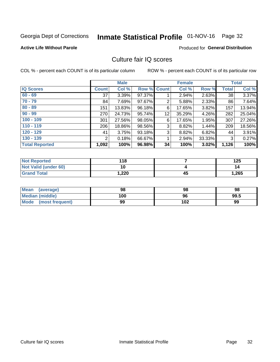## Inmate Statistical Profile 01-NOV-16 Page 32

### **Active Life Without Parole**

### Produced for General Distribution

## Culture fair IQ scores

COL % - percent each COUNT is of its particular column

|                       | <b>Male</b>  |        | <b>Female</b>      |    |        | <b>Total</b> |              |        |
|-----------------------|--------------|--------|--------------------|----|--------|--------------|--------------|--------|
| <b>IQ Scores</b>      | <b>Count</b> | Col %  | <b>Row % Count</b> |    | Col %  | Row %        | <b>Total</b> | Col %  |
| $60 - 69$             | 37           | 3.39%  | 97.37%             |    | 2.94%  | 2.63%        | 38           | 3.37%  |
| $70 - 79$             | 84           | 7.69%  | 97.67%             | 2  | 5.88%  | 2.33%        | 86           | 7.64%  |
| $80 - 89$             | 151          | 13.83% | 96.18%             | 6  | 17.65% | $3.82\%$     | 157          | 13.94% |
| $90 - 99$             | 270          | 24.73% | 95.74%             | 12 | 35.29% | 4.26%        | 282          | 25.04% |
| $100 - 109$           | 301          | 27.56% | 98.05%             | 6  | 17.65% | 1.95%        | 307          | 27.26% |
| $110 - 119$           | 206          | 18.86% | 98.56%             | 3  | 8.82%  | 1.44%        | 209          | 18.56% |
| $120 - 129$           | 41           | 3.75%  | 93.18%             | 3  | 8.82%  | 6.82%        | 44           | 3.91%  |
| $130 - 139$           | 2            | 0.18%  | 66.67%             | 1  | 2.94%  | 33.33%       | 3            | 0.27%  |
| <b>Total Reported</b> | 1,092        | 100%   | 96.98%             | 34 | 100%   | 3.02%        | 1,126        | 100%   |

| <b>Not Reported</b>  | 118  |    | 125   |
|----------------------|------|----|-------|
| Not Valid (under 60) | 10   |    | 14    |
| <b>Grand Total</b>   | ,220 | 45 | 1,265 |

| Mean<br>(average)       | 98  | 98  | 98   |
|-------------------------|-----|-----|------|
| <b>Median (middle)</b>  | 100 | 96  | 99.5 |
| Mode<br>(most frequent) | 99  | 102 | 99   |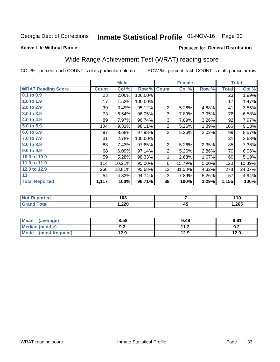## Inmate Statistical Profile 01-NOV-16 Page 33

### **Active Life Without Parole**

### Produced for General Distribution

## Wide Range Achievement Test (WRAT) reading score

COL % - percent each COUNT is of its particular column

| <b>WRAT Reading Score</b><br><b>Count</b><br>$0.1$ to $0.9$<br>23<br>1.0 to 1.9<br>17<br>2.0 to 2.9<br>39<br>3.0 to 3.9<br>73<br>4.0 to 4.9<br>89<br>5.0 to 5.9<br>104 | Col %<br>2.06%<br>1.52%<br>3.49%<br>6.54%<br>7.97%<br>9.31% | Row %<br>100.00%<br>100.00%<br>95.12%<br>96.05%<br>96.74%<br>98.11% | <b>Count</b><br>$\overline{2}$<br>3<br>3 | Col %<br>5.26%<br>7.89%<br>7.89% | Row %<br>4.88%<br>3.95%<br>3.26% | <b>Total</b><br>23<br>17<br>41<br>76<br>92 | Col %<br>1.99%<br>1.47%<br>3.55%<br>6.58% |
|------------------------------------------------------------------------------------------------------------------------------------------------------------------------|-------------------------------------------------------------|---------------------------------------------------------------------|------------------------------------------|----------------------------------|----------------------------------|--------------------------------------------|-------------------------------------------|
|                                                                                                                                                                        |                                                             |                                                                     |                                          |                                  |                                  |                                            |                                           |
|                                                                                                                                                                        |                                                             |                                                                     |                                          |                                  |                                  |                                            |                                           |
|                                                                                                                                                                        |                                                             |                                                                     |                                          |                                  |                                  |                                            |                                           |
|                                                                                                                                                                        |                                                             |                                                                     |                                          |                                  |                                  |                                            |                                           |
|                                                                                                                                                                        |                                                             |                                                                     |                                          |                                  |                                  |                                            |                                           |
|                                                                                                                                                                        |                                                             |                                                                     |                                          |                                  |                                  |                                            | 7.97%                                     |
|                                                                                                                                                                        |                                                             |                                                                     | $\overline{2}$                           | 5.26%                            | 1.89%                            | 106                                        | 9.18%                                     |
| 6.0 to 6.9<br>97                                                                                                                                                       | 8.68%                                                       | 97.98%                                                              | $\overline{2}$                           | 5.26%                            | 2.02%                            | 99                                         | 8.57%                                     |
| 7.0 to 7.9<br>31                                                                                                                                                       | 2.78%                                                       | 100.00%                                                             |                                          |                                  |                                  | 31                                         | 2.68%                                     |
| 8.0 to 8.9<br>83                                                                                                                                                       | 7.43%                                                       | 97.65%                                                              | $\overline{2}$                           | 5.26%                            | 2.35%                            | 85                                         | 7.36%                                     |
| 9.0 to 9.9<br>68                                                                                                                                                       | 6.09%                                                       | 97.14%                                                              | $\overline{2}$                           | 5.26%                            | 2.86%                            | 70                                         | 6.06%                                     |
| 10.0 to 10.9<br>59                                                                                                                                                     | 5.28%                                                       | 98.33%                                                              | 1                                        | 2.63%                            | 1.67%                            | 60                                         | 5.19%                                     |
| 11.0 to 11.9<br>114                                                                                                                                                    | 10.21%                                                      | 95.00%                                                              | 6                                        | 15.79%                           | 5.00%                            | 120                                        | 10.39%                                    |
| 12.0 to 12.9<br>266                                                                                                                                                    | 23.81%                                                      | 95.68%                                                              | 12 <sub>2</sub>                          | 31.58%                           | 4.32%                            | 278                                        | 24.07%                                    |
| 13<br>54                                                                                                                                                               | 4.83%                                                       | 94.74%                                                              | 3                                        | 7.89%                            | 5.26%                            | 57                                         | 4.94%                                     |
| <b>Total Reported</b><br>1,117                                                                                                                                         | 100%                                                        | 96.71%                                                              | 38                                       | 100%                             | 3.29%                            | 1,155                                      | 100%                                      |

| <b>Not Reported</b>   | 103    |          | 110   |
|-----------------------|--------|----------|-------|
| <b>Total</b><br>Grand | 220، ، | ΛI<br>᠇u | 1,265 |

| <b>Mean</b><br>(average)       | 8.58       | 9.49        | 8.61 |
|--------------------------------|------------|-------------|------|
| <b>Median (middle)</b>         | י ה<br>J.Z | 11 つ<br>1.Z | 9.2  |
| <b>Mode</b><br>(most frequent) | 12.9       | 12.9        | 12.9 |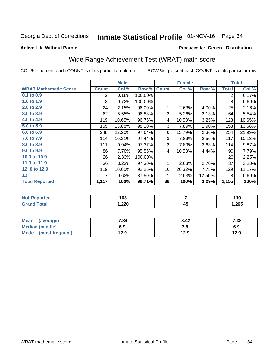## Inmate Statistical Profile 01-NOV-16 Page 34

### **Active Life Without Parole**

### Produced for General Distribution

## Wide Range Achievement Test (WRAT) math score

COL % - percent each COUNT is of its particular column

|                              |              | <b>Male</b> |         | <b>Female</b>   |        |        | <b>Total</b> |        |
|------------------------------|--------------|-------------|---------|-----------------|--------|--------|--------------|--------|
| <b>WRAT Mathematic Score</b> | <b>Count</b> | Col %       | Row %   | <b>Count</b>    | Col %  | Row %  | <b>Total</b> | Col %  |
| $0.1$ to $0.9$               | 2            | 0.18%       | 100.00% |                 |        |        | 2            | 0.17%  |
| 1.0 to 1.9                   | 8            | 0.72%       | 100.00% |                 |        |        | 8            | 0.69%  |
| 2.0 to 2.9                   | 24           | 2.15%       | 96.00%  | 1               | 2.63%  | 4.00%  | 25           | 2.16%  |
| 3.0 to 3.9                   | 62           | 5.55%       | 96.88%  | $\overline{2}$  | 5.26%  | 3.13%  | 64           | 5.54%  |
| 4.0 to 4.9                   | 119          | 10.65%      | 96.75%  | 4               | 10.53% | 3.25%  | 123          | 10.65% |
| 5.0 to 5.9                   | 155          | 13.88%      | 98.10%  | 3               | 7.89%  | 1.90%  | 158          | 13.68% |
| 6.0 to 6.9                   | 248          | 22.20%      | 97.64%  | 6               | 15.79% | 2.36%  | 254          | 21.99% |
| 7.0 to 7.9                   | 114          | 10.21%      | 97.44%  | 3               | 7.89%  | 2.56%  | 117          | 10.13% |
| 8.0 to 8.9                   | 111          | 9.94%       | 97.37%  | 3               | 7.89%  | 2.63%  | 114          | 9.87%  |
| 9.0 to 9.9                   | 86           | 7.70%       | 95.56%  | 4               | 10.53% | 4.44%  | 90           | 7.79%  |
| 10.0 to 10.9                 | 26           | 2.33%       | 100.00% |                 |        |        | 26           | 2.25%  |
| 11.0 to 11.9                 | 36           | 3.22%       | 97.30%  | 1               | 2.63%  | 2.70%  | 37           | 3.20%  |
| 12.0 to 12.9                 | 119          | 10.65%      | 92.25%  | 10 <sup>1</sup> | 26.32% | 7.75%  | 129          | 11.17% |
| 13                           |              | 0.63%       | 87.50%  | 1               | 2.63%  | 12.50% | 8            | 0.69%  |
| <b>Total Reported</b>        | 1,117        | 100%        | 96.71%  | 38              | 100%   | 3.29%  | 1,155        | 100%   |
|                              |              |             |         |                 |        |        |              |        |

| <b>Not Reported</b>   | 103    |          | 110   |
|-----------------------|--------|----------|-------|
| <b>Total</b><br>Grand | 220، ، | ΛI<br>᠇u | 1,265 |

| Mean (average)         | 7.34 | 8.42 | 7.38 |
|------------------------|------|------|------|
| <b>Median (middle)</b> | 6.9  | 7.9  | 6.9  |
| Mode (most frequent)   | 12.9 | 12.9 | 12.9 |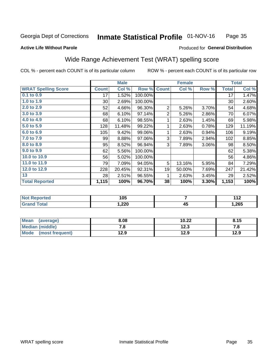#### **Inmate Statistical Profile 01-NOV-16** Page 35

### **Active Life Without Parole**

### Produced for General Distribution

## Wide Range Achievement Test (WRAT) spelling score

COL % - percent each COUNT is of its particular column

| <b>WRAT Spelling Score</b><br>0.1 to 0.9<br>1.0 to 1.9 | <b>Count</b><br>17 | Col %<br>1.52% | Row %   | <b>Count</b>   | Col %  | Row %    | <b>Total</b> | Col %  |
|--------------------------------------------------------|--------------------|----------------|---------|----------------|--------|----------|--------------|--------|
|                                                        |                    |                |         |                |        |          |              |        |
|                                                        |                    |                | 100.00% |                |        |          | 17           | 1.47%  |
|                                                        | 30 <sup>°</sup>    | 2.69%          | 100.00% |                |        |          | 30           | 2.60%  |
| 2.0 to 2.9                                             | 52                 | 4.66%          | 96.30%  | $\overline{2}$ | 5.26%  | 3.70%    | 54           | 4.68%  |
| 3.0 to 3.9                                             | 68                 | 6.10%          | 97.14%  | $\overline{2}$ | 5.26%  | 2.86%    | 70           | 6.07%  |
| 4.0 to 4.9                                             | 68                 | 6.10%          | 98.55%  | 1              | 2.63%  | 1.45%    | 69           | 5.98%  |
| 5.0 to 5.9                                             | 128                | 11.48%         | 99.22%  | 1              | 2.63%  | 0.78%    | 129          | 11.19% |
| 6.0 to 6.9                                             | 105                | 9.42%          | 99.06%  | 1              | 2.63%  | 0.94%    | 106          | 9.19%  |
| 7.0 to 7.9                                             | 99                 | 8.88%          | 97.06%  | 3              | 7.89%  | 2.94%    | 102          | 8.85%  |
| 8.0 to 8.9                                             | 95                 | 8.52%          | 96.94%  | 3              | 7.89%  | $3.06\%$ | 98           | 8.50%  |
| 9.0 to 9.9                                             | 62                 | 5.56%          | 100.00% |                |        |          | 62           | 5.38%  |
| 10.0 to 10.9                                           | 56                 | 5.02%          | 100.00% |                |        |          | 56           | 4.86%  |
| 11.0 to 11.9                                           | 79                 | 7.09%          | 94.05%  | 5              | 13.16% | 5.95%    | 84           | 7.29%  |
| 12.0 to 12.9                                           | 228                | 20.45%         | 92.31%  | 19             | 50.00% | 7.69%    | 247          | 21.42% |
| 13                                                     | 28                 | 2.51%          | 96.55%  | 1              | 2.63%  | 3.45%    | 29           | 2.52%  |
| <b>Total Reported</b>                                  | 1,115              | 100%           | 96.70%  | 38             | 100%   | 3.30%    | 1,153        | 100%   |

| <b>Not Reported</b>    | 105   |    | 440   |
|------------------------|-------|----|-------|
| <b>Total</b><br>'Grand | 1,220 | 45 | 1,265 |

| <b>Mean</b><br>(average) | 8.08 | 10.22 | 8.15 |
|--------------------------|------|-------|------|
| Median (middle)          | . о  | 12.3  | 7. I |
| Mode<br>(most frequent)  | 12.9 | 12.9  | 12.9 |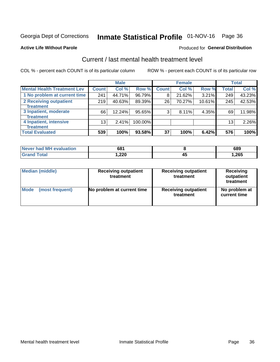## Inmate Statistical Profile 01-NOV-16 Page 36

### **Active Life Without Parole**

## **Produced for General Distribution**

## Current / last mental health treatment level

COL % - percent each COUNT is of its particular column

|                                    |              | <b>Male</b> |         |              | <b>Female</b> |        |                 | <b>Total</b> |
|------------------------------------|--------------|-------------|---------|--------------|---------------|--------|-----------------|--------------|
| <b>Mental Health Treatment Lev</b> | <b>Count</b> | Col%        | Row %   | <b>Count</b> | Col %         | Row %  | Total           | Col %        |
| 1 No problem at current time       | 241          | 44.71%      | 96.79%  | 8            | 21.62%        | 3.21%  | 249             | 43.23%       |
| 2 Receiving outpatient             | 219          | 40.63%      | 89.39%  | 26           | 70.27%        | 10.61% | 245             | 42.53%       |
| <b>Treatment</b>                   |              |             |         |              |               |        |                 |              |
| 3 Inpatient, moderate              | 66           | 12.24%      | 95.65%  | 3            | 8.11%         | 4.35%  | 69              | 11.98%       |
| Treatment                          |              |             |         |              |               |        |                 |              |
| 4 Inpatient, intensive             | 13           | 2.41%       | 100.00% |              |               |        | 13 <sub>1</sub> | 2.26%        |
| <b>Treatment</b>                   |              |             |         |              |               |        |                 |              |
| <b>Total Evaluated</b>             | 539          | 100%        | 93.58%  | 37           | 100%          | 6.42%  | 576             | 100%         |

| Never had MH evaluation | 681    |    | 689    |
|-------------------------|--------|----|--------|
| Total                   | 220, ا | ᠇֊ | 265. ا |

| <b>Median (middle)</b> | <b>Receiving outpatient</b><br>treatment | <b>Receiving outpatient</b><br>treatment | <b>Receiving</b><br>outpatient<br>treatment |  |  |
|------------------------|------------------------------------------|------------------------------------------|---------------------------------------------|--|--|
| <b>Mode</b>            | No problem at current time               | <b>Receiving outpatient</b>              | No problem at                               |  |  |
| (most frequent)        |                                          | treatment                                | current time                                |  |  |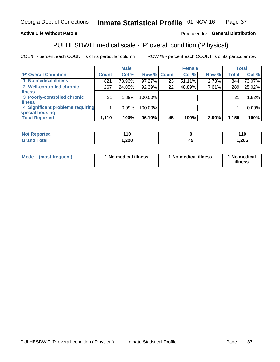#### Inmate Statistical Profile 01-NOV-16 Page 37

## **Active Life Without Parole**

## Produced for General Distribution

## PULHESDWIT medical scale - 'P' overall condition ('P'hysical)

COL % - percent each COUNT is of its particular column

|                                  |              | <b>Male</b> |         |             | <b>Female</b> |       |              | <b>Total</b> |
|----------------------------------|--------------|-------------|---------|-------------|---------------|-------|--------------|--------------|
| 'P' Overall Condition            | <b>Count</b> | Col %       |         | Row % Count | Col %         | Row % | <b>Total</b> | Col %        |
| 1 No medical illness             | 821          | 73.96%      | 97.27%  | 23          | 51.11%        | 2.73% | 844          | 73.07%       |
| 2 Well-controlled chronic        | 267          | 24.05%      | 92.39%  | 22          | 48.89%        | 7.61% | 289          | 25.02%       |
| <b>illness</b>                   |              |             |         |             |               |       |              |              |
| 3 Poorly-controlled chronic      | 21           | 1.89%       | 100.00% |             |               |       | 21           | 1.82%        |
| <b>illness</b>                   |              |             |         |             |               |       |              |              |
| 4 Significant problems requiring |              | 0.09%       | 100.00% |             |               |       |              | 0.09%        |
| special housing                  |              |             |         |             |               |       |              |              |
| <b>Total Reported</b>            | 1,110        | 100%        | 96.10%  | 45          | 100%          | 3.90% | 1,155        | 100%         |

| τeα   | 44C |   | 110  |
|-------|-----|---|------|
| _____ | ാറ  | ∼ | ,265 |

| <b>Mode</b> | (most frequent) | 1 No medical illness | 1 No medical illness | 1 No medical<br>illness |
|-------------|-----------------|----------------------|----------------------|-------------------------|
|-------------|-----------------|----------------------|----------------------|-------------------------|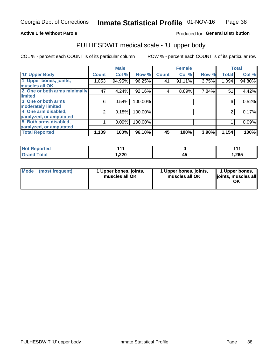### **Active Life Without Parole**

## Produced for General Distribution

## PULHESDWIT medical scale - 'U' upper body

COL % - percent each COUNT is of its particular column

|                              |               | <b>Male</b> |         |              | <b>Female</b> |       |              | <b>Total</b> |
|------------------------------|---------------|-------------|---------|--------------|---------------|-------|--------------|--------------|
| <b>U' Upper Body</b>         | <b>Count!</b> | Col %       | Row %   | <b>Count</b> | Col %         | Row % | <b>Total</b> | Col %        |
| 1 Upper bones, joints,       | 1,053         | 94.95%      | 96.25%  | 41           | $91.11\%$     | 3.75% | 1,094        | 94.80%       |
| muscles all OK               |               |             |         |              |               |       |              |              |
| 2 One or both arms minimally | 47            | 4.24%       | 92.16%  | 4            | 8.89%         | 7.84% | 51           | 4.42%        |
| limited                      |               |             |         |              |               |       |              |              |
| 3 One or both arms           | 6             | 0.54%       | 100.00% |              |               |       | 6            | 0.52%        |
| <b>moderately limited</b>    |               |             |         |              |               |       |              |              |
| 4 One arm disabled,          | 2             | 0.18%       | 100.00% |              |               |       | 2            | 0.17%        |
| paralyzed, or amputated      |               |             |         |              |               |       |              |              |
| 5 Both arms disabled,        |               | 0.09%       | 100.00% |              |               |       |              | 0.09%        |
| paralyzed, or amputated      |               |             |         |              |               |       |              |              |
| <b>Total Reported</b>        | 1,109         | 100%        | 96.10%  | 45           | 100%          | 3.90% | 1,154        | 100%         |

| <b>Not Reported</b> |        | 14,   |
|---------------------|--------|-------|
| <b>Grand Total</b>  | 220, ا | 1,265 |

| Mode (most frequent) | 1 Upper bones, joints,<br>muscles all OK | 1 Upper bones, joints,<br>muscles all OK | 1 Upper bones,<br>joints, muscles all<br>ΟK |
|----------------------|------------------------------------------|------------------------------------------|---------------------------------------------|
|----------------------|------------------------------------------|------------------------------------------|---------------------------------------------|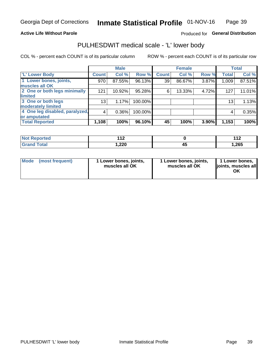### **Active Life Without Parole**

## Produced for General Distribution

## PULHESDWIT medical scale - 'L' lower body

COL % - percent each COUNT is of its particular column

|                                |                 | <b>Male</b> |         | <b>Female</b>   |        |       | <b>Total</b>    |        |
|--------------------------------|-----------------|-------------|---------|-----------------|--------|-------|-----------------|--------|
| 'L' Lower Body                 | <b>Count</b>    | Col %       | Row %   | <b>Count</b>    | Col %  | Row % | <b>Total</b>    | Col %  |
| 1 Lower bones, joints,         | 970             | 87.55%      | 96.13%  | 39 <sup>1</sup> | 86.67% | 3.87% | 1,009           | 87.51% |
| muscles all OK                 |                 |             |         |                 |        |       |                 |        |
| 2 One or both legs minimally   | 121             | 10.92%      | 95.28%  | 6               | 13.33% | 4.72% | 127             | 11.01% |
| limited                        |                 |             |         |                 |        |       |                 |        |
| 3 One or both legs             | 13 <sub>1</sub> | 1.17%       | 100.00% |                 |        |       | 13 <sub>1</sub> | 1.13%  |
| moderately limited             |                 |             |         |                 |        |       |                 |        |
| 4 One leg disabled, paralyzed, | 4               | 0.36%       | 100.00% |                 |        |       | 4               | 0.35%  |
| or amputated                   |                 |             |         |                 |        |       |                 |        |
| <b>Total Reported</b>          | 1,108           | 100%        | 96.10%  | 45              | 100%   | 3.90% | 1,153           | 100%   |

| <b>Not Reported</b> | $\overline{a}$<br><b>. .</b> | 449  |
|---------------------|------------------------------|------|
| <b>Total</b>        | 220, ا                       | ,265 |

| Mode | (most frequent) | 1 Lower bones, joints,<br>muscles all OK | 1 Lower bones, joints,<br>muscles all OK | 1 Lower bones,<br>ljoints, muscles all<br>ОK |
|------|-----------------|------------------------------------------|------------------------------------------|----------------------------------------------|
|------|-----------------|------------------------------------------|------------------------------------------|----------------------------------------------|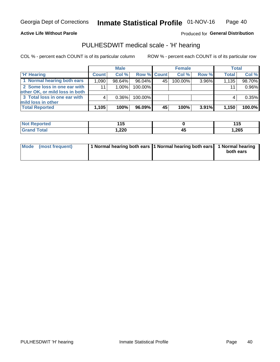**Active Life Without Parole** 

Produced for General Distribution

## PULHESDWIT medical scale - 'H' hearing

COL % - percent each COUNT is of its particular column

|                                                               |              | <b>Male</b> |             |    | <b>Female</b> |          | <b>Total</b> |        |
|---------------------------------------------------------------|--------------|-------------|-------------|----|---------------|----------|--------------|--------|
| <b>H'</b> Hearing                                             | <b>Count</b> | Col %       | Row % Count |    | Col%          | Row %    | <b>Total</b> | Col %  |
| 1 Normal hearing both ears                                    | 1,090        | $98.64\%$   | 96.04%      | 45 | 100.00%       | 3.96%    | 1,135        | 98.70% |
| 2 Some loss in one ear with<br>other OK, or mild loss in both | 11           | $1.00\%$    | 100.00%     |    |               |          | 11           | 0.96%  |
| 3 Total loss in one ear with                                  | 4            | $0.36\%$    | 100.00%     |    |               |          | 4            | 0.35%  |
| mild loss in other<br><b>Total Reported</b>                   | 1,105        | 100%        | $96.09\%$   | 45 | 100%          | $3.91\%$ | 1,150        | 100.0% |

| <b>Not</b><br><b>Reported</b> | .<br><b>15</b><br>1 J<br>$\sim$ |    | 44 E<br>. |
|-------------------------------|---------------------------------|----|-----------|
| <b>otal</b>                   | 220, ا                          | 43 | 1,265     |

| Mode (most frequent) | 1 Normal hearing both ears 11 Normal hearing both ears 1 Normal hearing | both ears |
|----------------------|-------------------------------------------------------------------------|-----------|
|                      |                                                                         |           |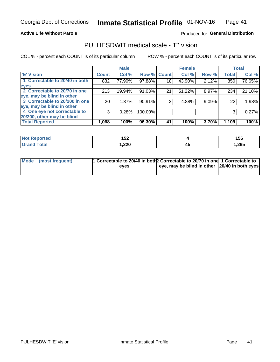### **Active Life Without Parole**

### Produced for General Distribution

## PULHESDWIT medical scale - 'E' vision

COL % - percent each COUNT is of its particular column

|                                |                 | <b>Male</b> |             |                 | <b>Female</b> |       |              | <b>Total</b> |
|--------------------------------|-----------------|-------------|-------------|-----------------|---------------|-------|--------------|--------------|
| <b>E' Vision</b>               | <b>Count</b>    | Col %       | Row % Count |                 | Col %         | Row % | <b>Total</b> | Col %        |
| 1 Correctable to 20/40 in both | 832             | 77.90%      | 97.88%      | 18 <sub>1</sub> | 43.90%        | 2.12% | 850          | 76.65%       |
| eyes                           |                 |             |             |                 |               |       |              |              |
| 2 Correctable to 20/70 in one  | 213             | 19.94%      | 91.03%      | 21              | 51.22%        | 8.97% | 234          | 21.10%       |
| eye, may be blind in other     |                 |             |             |                 |               |       |              |              |
| 3 Correctable to 20/200 in one | 20 <sub>1</sub> | 1.87%       | 90.91%      |                 | 4.88%         | 9.09% | 22           | 1.98%        |
| eye, may be blind in other     |                 |             |             |                 |               |       |              |              |
| 4 One eye not correctable to   | 3               | 0.28%       | 100.00%     |                 |               |       | 3            | 0.27%        |
| 20/200, other may be blind     |                 |             |             |                 |               |       |              |              |
| <b>Total Reported</b>          | 1,068           | 100%        | 96.30%      | 41              | 100%          | 3.70% | 1,109        | 100%         |

| <b>Not Reported</b> | 1 E A<br>IJL. |    | 156  |
|---------------------|---------------|----|------|
| Total               | 220ء ،        | 45 | .265 |

| Mode (most frequent) | 1 Correctable to 20/40 in both 2 Correctable to 20/70 in one 1 Correctable to<br>eves | eye, may be blind in other 20/40 in both eyes |  |
|----------------------|---------------------------------------------------------------------------------------|-----------------------------------------------|--|
|                      |                                                                                       |                                               |  |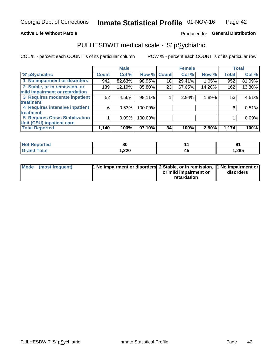### **Active Life Without Parole**

## Produced for General Distribution

## PULHESDWIT medical scale - 'S' pSychiatric

COL % - percent each COUNT is of its particular column

|                                        |              | <b>Male</b> |                    |    | <b>Female</b> |        |              | <b>Total</b> |
|----------------------------------------|--------------|-------------|--------------------|----|---------------|--------|--------------|--------------|
| 'S' pSychiatric                        | <b>Count</b> | Col %       | <b>Row % Count</b> |    | Col %         | Row %  | <b>Total</b> | Col %        |
| 1 No impairment or disorders           | 942          | 82.63%      | 98.95%             | 10 | 29.41%        | 1.05%  | 952          | 81.09%       |
| 2 Stable, or in remission, or          | 139          | 12.19%      | 85.80%             | 23 | 67.65%        | 14.20% | 162          | 13.80%       |
| mild impairment or retardation         |              |             |                    |    |               |        |              |              |
| 3 Requires moderate inpatient          | 52           | 4.56%       | 98.11%             |    | 2.94%         | 1.89%  | 53           | 4.51%        |
| treatment                              |              |             |                    |    |               |        |              |              |
| 4 Requires intensive inpatient         | 6            | 0.53%       | 100.00%            |    |               |        | 6            | 0.51%        |
| treatment                              |              |             |                    |    |               |        |              |              |
| <b>5 Requires Crisis Stabilization</b> |              | 0.09%       | 100.00%            |    |               |        |              | 0.09%        |
| Unit (CSU) inpatient care              |              |             |                    |    |               |        |              |              |
| <b>Total Reported</b>                  | 1,140        | 100%        | 97.10%             | 34 | 100%          | 2.90%  | 1,174        | 100%         |

| <b>Reported</b><br>NOT | . .<br>ou |    | ים    |
|------------------------|-----------|----|-------|
| <b>Total</b>           | 220, ا    | ᠇៶ | 1,265 |

| Mode (most frequent) | <b>1 No impairment or disorders</b> 2 Stable, or in remission, 11 No impairment or |                       |           |
|----------------------|------------------------------------------------------------------------------------|-----------------------|-----------|
|                      |                                                                                    | or mild impairment or | disorders |
|                      |                                                                                    | retardation           |           |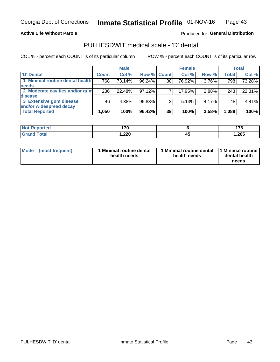**Active Life Without Parole** 

Produced for General Distribution

## PULHESDWIT medical scale - 'D' dental

COL % - percent each COUNT is of its particular column

|                                 |              | <b>Male</b> |                    |    | <b>Female</b> |       |              | <b>Total</b> |
|---------------------------------|--------------|-------------|--------------------|----|---------------|-------|--------------|--------------|
| 'D' Dental                      | <b>Count</b> | Col %       | <b>Row % Count</b> |    | Col %         | Row % | <b>Total</b> | Col %        |
| 1 Minimal routine dental health | 768          | 73.14%      | 96.24%             | 30 | 76.92%        | 3.76% | 798          | 73.28%       |
| <b>needs</b>                    |              |             |                    |    |               |       |              |              |
| 2 Moderate cavities and/or gum  | 236          | 22.48%      | 97.12%             |    | 17.95%        | 2.88% | 243          | 22.31%       |
| disease                         |              |             |                    |    |               |       |              |              |
| 3 Extensive gum disease         | 46           | 4.38%       | 95.83%             |    | 5.13%         | 4.17% | 48           | 4.41%        |
| and/or widespread decay         |              |             |                    |    |               |       |              |              |
| <b>Total Reported</b>           | 1,050        | 100%        | $96.42\%$          | 39 | 100%          | 3.58% | 1,089        | 100%         |

| prtea<br><b>NOT</b><br> | $\rightarrow$ |    | .<br>. I V |
|-------------------------|---------------|----|------------|
| <b>Total</b>            | າາດ<br>I.ZZU  | 43 | 1,265      |

| <b>Mode</b>     | Minimal routine dental | 1 Minimal routine dental 1 Minimal routine | dental health |
|-----------------|------------------------|--------------------------------------------|---------------|
| (most frequent) | health needs           | health needs                               | needs         |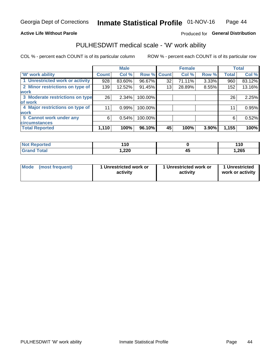### **Active Life Without Parole**

## Produced for General Distribution

## PULHESDWIT medical scale - 'W' work ability

COL % - percent each COUNT is of its particular column

|                                 |              | <b>Male</b> |         |             | <b>Female</b> |       |              | <b>Total</b> |
|---------------------------------|--------------|-------------|---------|-------------|---------------|-------|--------------|--------------|
| <b>W' work ability</b>          | <b>Count</b> | Col %       |         | Row % Count | Col %         | Row % | <b>Total</b> | Col %        |
| 1 Unrestricted work or activity | 928          | 83.60%      | 96.67%  | 32          | 71.11%        | 3.33% | 960          | 83.12%       |
| 2 Minor restrictions on type of | 139          | 12.52%      | 91.45%  | 13          | 28.89%        | 8.55% | 152          | 13.16%       |
| <b>work</b>                     |              |             |         |             |               |       |              |              |
| 3 Moderate restrictions on type | 26           | 2.34%       | 100.00% |             |               |       | 26           | 2.25%        |
| lof work                        |              |             |         |             |               |       |              |              |
| 4 Major restrictions on type of | 11           | 0.99%       | 100.00% |             |               |       | 11           | 0.95%        |
| <b>work</b>                     |              |             |         |             |               |       |              |              |
| 5 Cannot work under any         | 6            | 0.54%       | 100.00% |             |               |       | 6            | 0.52%        |
| <b>circumstances</b>            |              |             |         |             |               |       |              |              |
| <b>Total Reported</b>           | 1,110        | 100%        | 96.10%  | 45          | 100%          | 3.90% | 1,155        | 100%         |

| <b>Not Reported</b>   | 446<br><u>. . 0</u> |    | 110   |
|-----------------------|---------------------|----|-------|
| <b>Total</b><br>Cron/ | 220, ا              | ᠇៶ | 1,265 |

| Mode (most frequent) | 1 Unrestricted work or | 1 Unrestricted work or | 1 Unrestricted   |
|----------------------|------------------------|------------------------|------------------|
|                      | activity               | activity               | work or activity |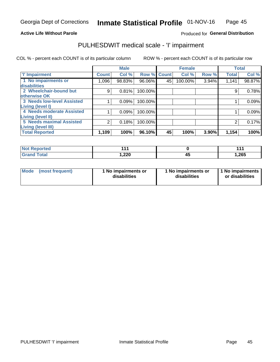### **Active Life Without Parole**

## Produced for General Distribution

## PULHESDWIT medical scale - 'I' impairment

COL % - percent each COUNT is of its particular column ROW % - percent each COUNT is of its particular row

|                                   |                | <b>Male</b> |             |    | <b>Female</b> |       |              | <b>Total</b> |
|-----------------------------------|----------------|-------------|-------------|----|---------------|-------|--------------|--------------|
| <b>T' Impairment</b>              | <b>Count</b>   | Col %       | Row % Count |    | Col %         | Row % | <b>Total</b> | Col %        |
| 1 No impairments or               | 1,096          | 98.83%      | 96.06%      | 45 | 100.00%       | 3.94% | 1,141        | 98.87%       |
| disabilities                      |                |             |             |    |               |       |              |              |
| 2 Wheelchair-bound but            | 9              | 0.81%       | 100.00%     |    |               |       | 9            | 0.78%        |
| otherwise OK                      |                |             |             |    |               |       |              |              |
| <b>3 Needs low-level Assisted</b> |                | 0.09%       | 100.00%     |    |               |       |              | 0.09%        |
| Living (level I)                  |                |             |             |    |               |       |              |              |
| 4 Needs moderate Assisted         |                | 0.09%       | 100.00%     |    |               |       |              | 0.09%        |
| Living (level II)                 |                |             |             |    |               |       |              |              |
| <b>5 Needs maximal Assisted</b>   | $\overline{2}$ | 0.18%       | 100.00%     |    |               |       |              | 0.17%        |
| <b>Living (level III)</b>         |                |             |             |    |               |       |              |              |
| <b>Total Reported</b>             | 1,109          | 100%        | 96.10%      | 45 | 100%          | 3.90% | 1,154        | 100%         |

| eported      | $\begin{array}{c} \n \text{A} & \text{A} & \text{A} \n \end{array}$ |    | 444<br>. |
|--------------|---------------------------------------------------------------------|----|----------|
| <b>cotal</b> | 220, ا                                                              | ٠. | 1,265    |

| Mode | (most frequent) | 1 No impairments or<br>disabilities | 1 No impairments or<br>disabilities | 1 No impairments<br>or disabilities |
|------|-----------------|-------------------------------------|-------------------------------------|-------------------------------------|
|------|-----------------|-------------------------------------|-------------------------------------|-------------------------------------|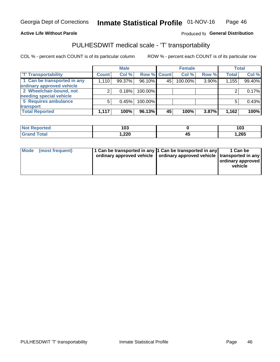### **Active Life Without Parole**

## Produced fo General Distribution

## PULHESDWIT medical scale - 'T' transportability

COL % - percent each COUNT is of its particular column

|                             |              | <b>Male</b> |             |    | <b>Female</b> |       |              | <b>Total</b> |
|-----------------------------|--------------|-------------|-------------|----|---------------|-------|--------------|--------------|
| <b>T' Transportability</b>  | <b>Count</b> | Col %       | Row % Count |    | Col %         | Row % | <b>Total</b> | Col %        |
| 1 Can be transported in any | 1,110        | 99.37%      | 96.10%      | 45 | 100.00%       | 3.90% | 1,155        | 99.40%       |
| ordinary approved vehicle   |              |             |             |    |               |       |              |              |
| 2 Wheelchair-bound, not     |              | 0.18%       | 100.00%     |    |               |       |              | 0.17%        |
| needing special vehicle     |              |             |             |    |               |       |              |              |
| 5 Requires ambulance        |              | 0.45%       | 100.00%     |    |               |       |              | 0.43%        |
| transport                   |              |             |             |    |               |       |              |              |
| <b>Total Reported</b>       | 1,117        | 100%        | 96.13%      | 45 | 100%          | 3.87% | 1,162        | 100%         |

| Reported    | 103    |    | 103   |
|-------------|--------|----|-------|
| <b>otal</b> | 220, ا | т. | 1,265 |

| Mode (most frequent) | 1 Can be transported in any 1 Can be transported in any | ordinary approved vehicle   ordinary approved vehicle   transported in any | 1 Can be<br>ordinary approved<br>vehicle |
|----------------------|---------------------------------------------------------|----------------------------------------------------------------------------|------------------------------------------|
|                      |                                                         |                                                                            |                                          |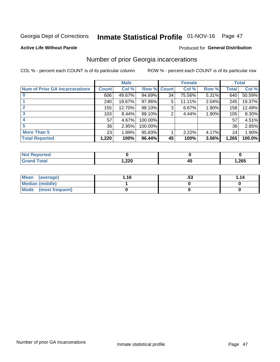## Inmate Statistical Profile 01-NOV-16 Page 47

### **Active Life Without Parole**

### Produced for General Distribution

## Number of prior Georgia incarcerations

COL % - percent each COUNT is of its particular column

|                                       |              | <b>Male</b> |             |    | <b>Female</b> |       |       | <b>Total</b> |
|---------------------------------------|--------------|-------------|-------------|----|---------------|-------|-------|--------------|
| <b>Num of Prior GA Incarcerations</b> | <b>Count</b> | Col %       | Row % Count |    | Col %         | Row % | Total | Col %        |
| $\bf{0}$                              | 606          | 49.67%      | 94.69%      | 34 | 75.56%        | 5.31% | 640   | 50.59%       |
|                                       | 240          | 19.67%      | $97.96\%$   | 5  | 11.11%        | 2.04% | 245   | 19.37%       |
|                                       | 155          | 12.70%      | 98.10%      | 3  | 6.67%         | 1.90% | 158   | 12.49%       |
| 3                                     | 103          | 8.44%       | 98.10%      | 2  | 4.44%         | 1.90% | 105   | 8.30%        |
| 4                                     | 57           | 4.67%       | 100.00%     |    |               |       | 57    | 4.51%        |
| 5                                     | 36           | 2.95%       | 100.00%     |    |               |       | 36    | 2.85%        |
| <b>More Than 5</b>                    | 23           | 1.89%       | 95.83%      |    | 2.22%         | 4.17% | 24    | 1.90%        |
| <b>Total Reported</b>                 | 1,220        | 100%        | 96.44%      | 45 | 100%          | 3.56% | 1,265 | 100.0%       |

| <b>orted</b><br>NA               |               |   |       |
|----------------------------------|---------------|---|-------|
| <b>Total</b><br>$\mathbf{v}$ and | חרר<br>727, ا | ╌ | 1,265 |

| Mean (average)       | 1.16 | .აა | 1.14 |
|----------------------|------|-----|------|
| Median (middle)      |      |     |      |
| Mode (most frequent) |      |     |      |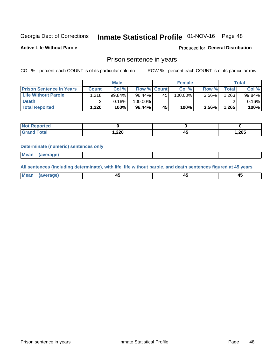## Inmate Statistical Profile 01-NOV-16 Page 48

**Active Life Without Parole** 

Produced for General Distribution

## Prison sentence in years

COL % - percent each COUNT is of its particular column

ROW % - percent each COUNT is of its particular row

|                                 |              | <b>Male</b> |                    |    | <b>Female</b> |          |             | Total  |
|---------------------------------|--------------|-------------|--------------------|----|---------------|----------|-------------|--------|
| <b>Prison Sentence In Years</b> | <b>Count</b> | Col %       | <b>Row % Count</b> |    | Col %         | Row %    | $\tau$ otal | Col %  |
| <b>Life Without Parole</b>      | 1,218        | 99.84%      | $96.44\%$          | 45 | $100.00\%$    | $3.56\%$ | .263        | 99.84% |
| <b>Death</b>                    |              | 0.16%       | 100.00%            |    |               |          |             | 0.16%  |
| <b>Total Reported</b>           | 1.220        | 100%        | 96.44%             | 45 | 100%          | $3.56\%$ | 1,265       | 100%   |

| ported       |       |    |       |
|--------------|-------|----|-------|
| <b>Total</b> | 1,220 | -- | 1,265 |

### **Determinate (numeric) sentences only**

| ' Mea<br><b>Service</b> A<br>ЯМА. |  |  |  |
|-----------------------------------|--|--|--|
|                                   |  |  |  |

All sentences (including determinate), with life, life without parole, and death sentences figured at 45 years

| l Mea<br>'апе<br>.<br> | ᠇<br>$\sim$ | $\sim$ |  |
|------------------------|-------------|--------|--|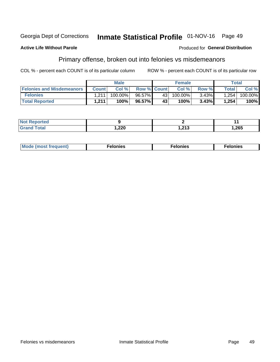#### Georgia Dept of Corrections Inmate Statistical Profile 01-NOV-16 Page 49

### **Active Life Without Parole**

### Produced for General Distribution

## Primary offense, broken out into felonies vs misdemeanors

COL % - percent each COUNT is of its particular column

|                                  |              | <b>Male</b> |                    |                 | <b>Female</b> |       |         | Total   |
|----------------------------------|--------------|-------------|--------------------|-----------------|---------------|-------|---------|---------|
| <b>Felonies and Misdemeanors</b> | <b>Count</b> | Col%        | <b>Row % Count</b> |                 | Col%          | Row % | Total i | Col %   |
| <b>Felonies</b>                  | 1.211        | 100.00%     | 96.57%             | 43 <sub>1</sub> | 100.00%       | 3.43% | 1.254   | 100.00% |
| <b>Total Reported</b>            | 1.211        | 100%        | 96.57%             | 43'             | 100%          | 3.43% | 1,254   | 100%    |

| <b>Not Reported</b> |        |         |      |
|---------------------|--------|---------|------|
| d Total             | າາດ    | ົດ4.ດ   | .265 |
| <b>Grand</b>        | 5.75 ا | 1.Z I J |      |

| $Mc$<br>equent)<br>нез<br>$\sim$<br>. | onies<br>. | <b>onies</b><br>. |
|---------------------------------------|------------|-------------------|
|---------------------------------------|------------|-------------------|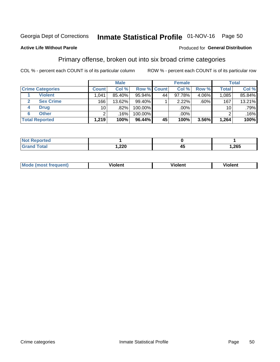## Inmate Statistical Profile 01-NOV-16 Page 50

### **Active Life Without Parole**

### Produced for General Distribution

## Primary offense, broken out into six broad crime categories

COL % - percent each COUNT is of its particular column

|                         |                 | <b>Male</b> |           |             | <b>Female</b> |       |                 | Total  |
|-------------------------|-----------------|-------------|-----------|-------------|---------------|-------|-----------------|--------|
| <b>Crime Categories</b> | <b>Count</b>    | Col %       |           | Row % Count | Col %         | Row % | <b>Total</b>    | Col %  |
| <b>Violent</b>          | 1,041           | 85.40%      | $95.94\%$ | 44          | 97.78%        | 4.06% | 1,085           | 85.84% |
| <b>Sex Crime</b>        | 166             | 13.62%      | 99.40%    |             | 2.22%         | .60%  | 167             | 13.21% |
| <b>Drug</b><br>4        | 10 <sub>1</sub> | .82%        | 100.00%   |             | .00%          |       | 10 <sup>1</sup> | .79%   |
| <b>Other</b><br>6       | 2               | .16%        | 100.00%   |             | .00%          |       |                 | .16%   |
| <b>Total Reported</b>   | 1,219           | 100%        | $96.44\%$ | 45          | 100%          | 3.56% | 1,264           | 100%   |

| orted<br><b>NOT REPO</b> |             |      |
|--------------------------|-------------|------|
| Total                    | חרר<br>,22U | ,265 |

| Mode (most frequent) | <br>∕iolent | Violent | Violent |
|----------------------|-------------|---------|---------|
|                      |             |         |         |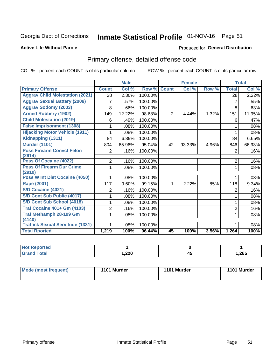## Inmate Statistical Profile 01-NOV-16 Page 51

### **Active Life Without Parole**

### Produced for General Distribution

## Primary offense, detailed offense code

COL % - percent each COUNT is of its particular column

|                                            |                | <b>Male</b> |         |                | <b>Female</b> |       |                | <b>Total</b> |
|--------------------------------------------|----------------|-------------|---------|----------------|---------------|-------|----------------|--------------|
| <b>Primary Offense</b>                     | <b>Count</b>   | Col %       | Row %   | <b>Count</b>   | Col %         | Row % | <b>Total</b>   | Col %        |
| <b>Aggrav Child Molestation (2021)</b>     | 28             | 2.30%       | 100.00% |                |               |       | 28             | 2.22%        |
| <b>Aggrav Sexual Battery (2009)</b>        | 7              | .57%        | 100.00% |                |               |       | 7              | .55%         |
| <b>Aggrav Sodomy (2003)</b>                | 8              | .66%        | 100.00% |                |               |       | 8              | .63%         |
| <b>Armed Robbery (1902)</b>                | 149            | 12.22%      | 98.68%  | $\overline{2}$ | 4.44%         | 1.32% | 151            | 11.95%       |
| <b>Child Molestation (2019)</b>            | 6              | .49%        | 100.00% |                |               |       | 6              | .47%         |
| <b>False Imprisonment (1308)</b>           |                | .08%        | 100.00% |                |               |       |                | .08%         |
| <b>Hijacking Motor Vehicle (1911)</b>      |                | .08%        | 100.00% |                |               |       |                | .08%         |
| Kidnapping (1311)                          | 84             | 6.89%       | 100.00% |                |               |       | 84             | 6.65%        |
| <b>Murder (1101)</b>                       | 804            | 65.96%      | 95.04%  | 42             | 93.33%        | 4.96% | 846            | 66.93%       |
| <b>Poss Firearm Convct Felon</b>           | $\overline{2}$ | .16%        | 100.00% |                |               |       | 2              | .16%         |
| (2914)                                     |                |             |         |                |               |       |                |              |
| Poss Of Cocaine (4022)                     | $\overline{2}$ | .16%        | 100.00% |                |               |       | $\overline{2}$ | .16%         |
| <b>Poss Of Firearm Dur Crime</b><br>(2910) | 1              | .08%        | 100.00% |                |               |       | 1              | .08%         |
| <b>Poss W Int Dist Cocaine (4050)</b>      |                | .08%        | 100.00% |                |               |       |                | .08%         |
| <b>Rape (2001)</b>                         | 117            | 9.60%       | 99.15%  |                | 2.22%         | .85%  | 118            | 9.34%        |
| <b>S/D Cocaine (4021)</b>                  | 2              | .16%        | 100.00% |                |               |       | $\overline{2}$ | .16%         |
| S/D Cont Sub Public (4017)                 |                | .08%        | 100.00% |                |               |       | 1              | .08%         |
| S/D Cont Sub School (4018)                 |                | .08%        | 100.00% |                |               |       | 1              | .08%         |
| <b>Traf Cocaine 401+ Gm (4103)</b>         | 2              | .16%        | 100.00% |                |               |       | $\overline{2}$ | .16%         |
| <b>Traf Methamph 28-199 Gm</b>             | 1              | .08%        | 100.00% |                |               |       | 1              | .08%         |
| (4140)                                     |                |             |         |                |               |       |                |              |
| <b>Traffick Sexual Servitude (1331)</b>    |                | .08%        | 100.00% |                |               |       | 1              | .08%         |
| <b>Total Rported</b>                       | 1,219          | 100%        | 96.44%  | 45             | 100%          | 3.56% | 1,264          | 100%         |

| eported<br><b>NOT</b> |               |          |       |
|-----------------------|---------------|----------|-------|
| <b>Fotal</b>          | າາດ<br>∪∡∠. ا | - -<br>≁ | 1,265 |

| Mode (most frequent) | 1101 Murder | 1101 Murder | 1101 Murder |
|----------------------|-------------|-------------|-------------|
|                      |             |             |             |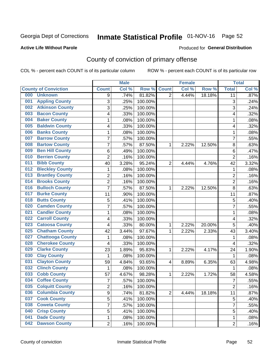## Inmate Statistical Profile 01-NOV-16 Page 52

### **Active Life Without Parole**

### Produced for General Distribution

## County of conviction of primary offense

COL % - percent each COUNT is of its particular column

|                                |                | <b>Male</b> |         |                | <b>Female</b> |        |                           | <b>Total</b> |
|--------------------------------|----------------|-------------|---------|----------------|---------------|--------|---------------------------|--------------|
| <b>County of Conviction</b>    | <b>Count</b>   | Col %       | Row %   | <b>Count</b>   | Col %         | Row %  | <b>Total</b>              | Col %        |
| 000<br><b>Unknown</b>          | 9              | .74%        | 81.82%  | $\overline{2}$ | 4.44%         | 18.18% | 11                        | .87%         |
| <b>Appling County</b><br>001   | 3              | .25%        | 100.00% |                |               |        | $\ensuremath{\mathsf{3}}$ | .24%         |
| <b>Atkinson County</b><br>002  | 3              | .25%        | 100.00% |                |               |        | 3                         | .24%         |
| <b>Bacon County</b><br>003     | 4              | .33%        | 100.00% |                |               |        | 4                         | .32%         |
| <b>Baker County</b><br>004     | 1              | .08%        | 100.00% |                |               |        | 1                         | .08%         |
| <b>Baldwin County</b><br>005   | 4              | .33%        | 100.00% |                |               |        | 4                         | .32%         |
| <b>Banks County</b><br>006     | 1              | .08%        | 100.00% |                |               |        | $\mathbf{1}$              | .08%         |
| <b>Barrow County</b><br>007    | $\overline{7}$ | .57%        | 100.00% |                |               |        | $\overline{7}$            | .55%         |
| <b>Bartow County</b><br>008    | 7              | .57%        | 87.50%  | 1              | 2.22%         | 12.50% | 8                         | .63%         |
| <b>Ben Hill County</b><br>009  | $\,6$          | .49%        | 100.00% |                |               |        | 6                         | .47%         |
| <b>Berrien County</b><br>010   | $\overline{c}$ | .16%        | 100.00% |                |               |        | $\overline{2}$            | .16%         |
| <b>Bibb County</b><br>011      | 40             | 3.28%       | 95.24%  | $\overline{2}$ | 4.44%         | 4.76%  | 42                        | 3.32%        |
| <b>Bleckley County</b><br>012  | 1              | .08%        | 100.00% |                |               |        | $\mathbf 1$               | .08%         |
| <b>Brantley County</b><br>013  | $\overline{2}$ | .16%        | 100.00% |                |               |        | $\overline{2}$            | .16%         |
| <b>Brooks County</b><br>014    | $\overline{c}$ | .16%        | 100.00% |                |               |        | $\overline{2}$            | .16%         |
| <b>Bulloch County</b><br>016   | $\overline{7}$ | .57%        | 87.50%  | 1              | 2.22%         | 12.50% | 8                         | .63%         |
| <b>Burke County</b><br>017     | 11             | .90%        | 100.00% |                |               |        | 11                        | .87%         |
| <b>Butts County</b><br>018     | 5              | .41%        | 100.00% |                |               |        | 5                         | .40%         |
| <b>Camden County</b><br>020    | $\overline{7}$ | .57%        | 100.00% |                |               |        | $\overline{7}$            | .55%         |
| <b>Candler County</b><br>021   | 1              | .08%        | 100.00% |                |               |        | 1                         | .08%         |
| <b>Carroll County</b><br>022   | 4              | .33%        | 100.00% |                |               |        | 4                         | .32%         |
| <b>Catoosa County</b><br>023   | 4              | .33%        | 80.00%  | $\mathbf{1}$   | 2.22%         | 20.00% | 5                         | .40%         |
| <b>Chatham County</b><br>025   | 42             | 3.44%       | 97.67%  | 1              | 2.22%         | 2.33%  | 43                        | 3.40%        |
| <b>Chattooga County</b><br>027 | 1              | .08%        | 100.00% |                |               |        | 1                         | .08%         |
| <b>Cherokee County</b><br>028  | 4              | .33%        | 100.00% |                |               |        | 4                         | .32%         |
| <b>Clarke County</b><br>029    | 23             | 1.89%       | 95.83%  | 1              | 2.22%         | 4.17%  | 24                        | 1.90%        |
| <b>Clay County</b><br>030      | 1              | .08%        | 100.00% |                |               |        | 1                         | .08%         |
| <b>Clayton County</b><br>031   | 59             | 4.84%       | 93.65%  | 4              | 8.89%         | 6.35%  | 63                        | 4.98%        |
| <b>Clinch County</b><br>032    | $\mathbf 1$    | .08%        | 100.00% |                |               |        | 1                         | .08%         |
| <b>Cobb County</b><br>033      | 57             | 4.67%       | 98.28%  | 1              | 2.22%         | 1.72%  | 58                        | 4.58%        |
| <b>Coffee County</b><br>034    | $\overline{7}$ | .57%        | 100.00% |                |               |        | $\overline{7}$            | .55%         |
| 035<br><b>Colquitt County</b>  | $\overline{c}$ | .16%        | 100.00% |                |               |        | 2                         | .16%         |
| <b>Columbia County</b><br>036  | 9              | .74%        | 81.82%  | $\overline{2}$ | 4.44%         | 18.18% | 11                        | .87%         |
| 037<br><b>Cook County</b>      | 5              | .41%        | 100.00% |                |               |        | 5                         | .40%         |
| <b>Coweta County</b><br>038    | 7              | .57%        | 100.00% |                |               |        | $\overline{7}$            | .55%         |
| <b>Crisp County</b><br>040     | 5              | .41%        | 100.00% |                |               |        | 5                         | .40%         |
| <b>Dade County</b><br>041      | 1              | .08%        | 100.00% |                |               |        | 1                         | .08%         |
| <b>Dawson County</b><br>042    | $\overline{2}$ | .16%        | 100.00% |                |               |        | $\overline{2}$            | .16%         |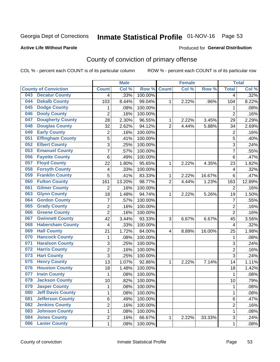## Inmate Statistical Profile 01-NOV-16 Page 53

### **Active Life Without Parole**

### Produced for General Distribution

## County of conviction of primary offense

COL % - percent each COUNT is of its particular column

|     |                             |                         | <b>Male</b> |         |                | <b>Female</b> |        |                | <b>Total</b> |
|-----|-----------------------------|-------------------------|-------------|---------|----------------|---------------|--------|----------------|--------------|
|     | <b>County of Conviction</b> | <b>Count</b>            | Col %       | Row %   | <b>Count</b>   | Col %         | Row %  | <b>Total</b>   | Col %        |
| 043 | <b>Decatur County</b>       | 4                       | .33%        | 100.00% |                |               |        | 4              | .32%         |
| 044 | <b>Dekalb County</b>        | 103                     | 8.44%       | 99.04%  | 1              | 2.22%         | .96%   | 104            | 8.22%        |
| 045 | <b>Dodge County</b>         | 1                       | .08%        | 100.00% |                |               |        | 1              | .08%         |
| 046 | <b>Dooly County</b>         | $\overline{2}$          | .16%        | 100.00% |                |               |        | $\overline{2}$ | .16%         |
| 047 | <b>Dougherty County</b>     | 28                      | 2.30%       | 96.55%  | 1              | 2.22%         | 3.45%  | 29             | 2.29%        |
| 048 | <b>Douglas County</b>       | 32                      | 2.62%       | 94.12%  | $\overline{2}$ | 4.44%         | 5.88%  | 34             | 2.69%        |
| 049 | <b>Early County</b>         | $\overline{c}$          | .16%        | 100.00% |                |               |        | $\overline{2}$ | .16%         |
| 051 | <b>Effingham County</b>     | 5                       | .41%        | 100.00% |                |               |        | 5              | .40%         |
| 052 | <b>Elbert County</b>        | 3                       | .25%        | 100.00% |                |               |        | 3              | .24%         |
| 053 | <b>Emanuel County</b>       | $\overline{7}$          | .57%        | 100.00% |                |               |        | 7              | .55%         |
| 056 | <b>Fayette County</b>       | 6                       | .49%        | 100.00% |                |               |        | 6              | .47%         |
| 057 | <b>Floyd County</b>         | 22                      | 1.80%       | 95.65%  | 1              | 2.22%         | 4.35%  | 23             | 1.82%        |
| 058 | <b>Forsyth County</b>       | 4                       | .33%        | 100.00% |                |               |        | 4              | .32%         |
| 059 | <b>Franklin County</b>      | 5                       | .41%        | 83.33%  | 1              | 2.22%         | 16.67% | 6              | .47%         |
| 060 | <b>Fulton County</b>        | 161                     | 13.20%      | 98.77%  | $\overline{2}$ | 4.44%         | 1.23%  | 163            | 12.89%       |
| 061 | <b>Gilmer County</b>        | $\overline{2}$          | .16%        | 100.00% |                |               |        | 2              | .16%         |
| 063 | <b>Glynn County</b>         | 18                      | 1.48%       | 94.74%  | 1              | 2.22%         | 5.26%  | 19             | 1.50%        |
| 064 | <b>Gordon County</b>        | 7                       | .57%        | 100.00% |                |               |        | $\overline{7}$ | .55%         |
| 065 | <b>Grady County</b>         | $\overline{c}$          | .16%        | 100.00% |                |               |        | $\overline{2}$ | .16%         |
| 066 | <b>Greene County</b>        | $\overline{2}$          | .16%        | 100.00% |                |               |        | $\overline{2}$ | .16%         |
| 067 | <b>Gwinnett County</b>      | 42                      | 3.44%       | 93.33%  | 3              | 6.67%         | 6.67%  | 45             | 3.56%        |
| 068 | <b>Habersham County</b>     | 4                       | .33%        | 100.00% |                |               |        | 4              | .32%         |
| 069 | <b>Hall County</b>          | 21                      | 1.72%       | 84.00%  | 4              | 8.89%         | 16.00% | 25             | 1.98%        |
| 070 | <b>Hancock County</b>       | 1                       | .08%        | 100.00% |                |               |        | 1              | .08%         |
| 071 | <b>Haralson County</b>      | 3                       | .25%        | 100.00% |                |               |        | 3              | .24%         |
| 072 | <b>Harris County</b>        | $\overline{2}$          | .16%        | 100.00% |                |               |        | $\overline{2}$ | .16%         |
| 073 | <b>Hart County</b>          | 3                       | .25%        | 100.00% |                |               |        | $\overline{3}$ | .24%         |
| 075 | <b>Henry County</b>         | 13                      | 1.07%       | 92.86%  | 1              | 2.22%         | 7.14%  | 14             | 1.11%        |
| 076 | <b>Houston County</b>       | 18                      | 1.48%       | 100.00% |                |               |        | 18             | 1.42%        |
| 077 | <b>Irwin County</b>         | $\mathbf{1}$            | .08%        | 100.00% |                |               |        | $\mathbf{1}$   | .08%         |
| 078 | <b>Jackson County</b>       | 10                      | .82%        | 100.00% |                |               |        | 10             | .79%         |
| 079 | <b>Jasper County</b>        | 1                       | .08%        | 100.00% |                |               |        | 1              | .08%         |
| 080 | <b>Jeff Davis County</b>    | 1                       | .08%        | 100.00% |                |               |        | $\mathbf{1}$   | .08%         |
| 081 | <b>Jefferson County</b>     | 6                       | .49%        | 100.00% |                |               |        | 6              | .47%         |
| 082 | <b>Jenkins County</b>       | $\overline{\mathbf{c}}$ | .16%        | 100.00% |                |               |        | $\overline{2}$ | .16%         |
| 083 | <b>Johnson County</b>       | 1                       | .08%        | 100.00% |                |               |        | $\mathbf{1}$   | .08%         |
| 084 | <b>Jones County</b>         | 2                       | .16%        | 66.67%  | $\mathbf{1}$   | 2.22%         | 33.33% | 3              | .24%         |
| 086 | <b>Lanier County</b>        | $\mathbf 1$             | .08%        | 100.00% |                |               |        | $\mathbf 1$    | .08%         |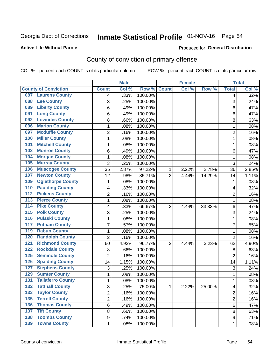## Inmate Statistical Profile 01-NOV-16 Page 54

### **Active Life Without Parole**

### Produced for General Distribution

## County of conviction of primary offense

COL % - percent each COUNT is of its particular column

|                                            |                | <b>Male</b> |                  |                | <b>Female</b> |        |                | <b>Total</b> |
|--------------------------------------------|----------------|-------------|------------------|----------------|---------------|--------|----------------|--------------|
| <b>County of Conviction</b>                | <b>Count</b>   | Col %       | Row <sup>%</sup> | <b>Count</b>   | Col %         | Row %  | <b>Total</b>   | Col %        |
| <b>Laurens County</b><br>087               | 4              | .33%        | 100.00%          |                |               |        | 4              | .32%         |
| <b>Lee County</b><br>088                   | 3              | .25%        | 100.00%          |                |               |        | 3              | .24%         |
| <b>Liberty County</b><br>089               | 6              | .49%        | 100.00%          |                |               |        | 6              | .47%         |
| <b>Long County</b><br>091                  | 6              | .49%        | 100.00%          |                |               |        | 6              | .47%         |
| <b>Lowndes County</b><br>092               | 8              | .66%        | 100.00%          |                |               |        | 8              | .63%         |
| <b>Marion County</b><br>096                | 1              | .08%        | 100.00%          |                |               |        | $\mathbf{1}$   | .08%         |
| <b>Mcduffie County</b><br>097              | 2              | .16%        | 100.00%          |                |               |        | $\overline{2}$ | .16%         |
| <b>Miller County</b><br>100                | 1              | .08%        | 100.00%          |                |               |        | $\mathbf{1}$   | .08%         |
| <b>Mitchell County</b><br>101              | 1              | .08%        | 100.00%          |                |               |        | 1              | .08%         |
| <b>Monroe County</b><br>102                | 6              | .49%        | 100.00%          |                |               |        | 6              | .47%         |
| <b>Morgan County</b><br>104                | 1              | .08%        | 100.00%          |                |               |        | 1              | .08%         |
| <b>Murray County</b><br>105                | 3              | .25%        | 100.00%          |                |               |        | 3              | .24%         |
| <b>Muscogee County</b><br>106              | 35             | 2.87%       | 97.22%           | 1              | 2.22%         | 2.78%  | 36             | 2.85%        |
| <b>Newton County</b><br>107                | 12             | .98%        | 85.71%           | $\overline{2}$ | 4.44%         | 14.29% | 14             | 1.11%        |
| <b>Oglethorpe County</b><br>109            | 1              | .08%        | 100.00%          |                |               |        | 1              | .08%         |
| <b>Paulding County</b><br>110              | 4              | .33%        | 100.00%          |                |               |        | 4              | .32%         |
| <b>Pickens County</b><br>112               | 2              | .16%        | 100.00%          |                |               |        | $\overline{2}$ | .16%         |
| <b>Pierce County</b><br>$\overline{113}$   | 1              | .08%        | 100.00%          |                |               |        | 1              | .08%         |
| <b>Pike County</b><br>$\overline{114}$     | 4              | .33%        | 66.67%           | $\overline{2}$ | 4.44%         | 33.33% | 6              | .47%         |
| <b>Polk County</b><br>$\overline{115}$     | 3              | .25%        | 100.00%          |                |               |        | $\overline{3}$ | .24%         |
| <b>Pulaski County</b><br>116               | 1              | .08%        | 100.00%          |                |               |        | 1              | .08%         |
| <b>Putnam County</b><br>117                | $\overline{7}$ | .57%        | 100.00%          |                |               |        | $\overline{7}$ | .55%         |
| <b>Rabun County</b><br>119                 | 1              | .08%        | 100.00%          |                |               |        | $\mathbf{1}$   | .08%         |
| <b>Randolph County</b><br>120              | $\overline{2}$ | .16%        | 100.00%          |                |               |        | $\overline{2}$ | .16%         |
| <b>Richmond County</b><br>121              | 60             | 4.92%       | 96.77%           | $\overline{2}$ | 4.44%         | 3.23%  | 62             | 4.90%        |
| <b>Rockdale County</b><br>122              | 8              | .66%        | 100.00%          |                |               |        | 8              | .63%         |
| <b>Seminole County</b><br>$\overline{125}$ | $\overline{2}$ | .16%        | 100.00%          |                |               |        | $\overline{2}$ | .16%         |
| <b>Spalding County</b><br>126              | 14             | 1.15%       | 100.00%          |                |               |        | 14             | 1.11%        |
| <b>Stephens County</b><br>127              | 3              | .25%        | 100.00%          |                |               |        | 3              | .24%         |
| <b>Sumter County</b><br>129                | 1              | .08%        | 100.00%          |                |               |        | 1              | .08%         |
| <b>Taliaferro County</b><br>131            | 1              | .08%        | 100.00%          |                |               |        | 1              | .08%         |
| <b>Tattnall County</b><br>$\overline{132}$ | 3              | .25%        | 75.00%           | 1              | 2.22%         | 25.00% | 4              | .32%         |
| <b>Taylor County</b><br>133                | $\overline{2}$ | .16%        | 100.00%          |                |               |        | $\overline{2}$ | .16%         |
| <b>Terrell County</b><br>135               | $\overline{2}$ | .16%        | 100.00%          |                |               |        | $\overline{2}$ | .16%         |
| <b>Thomas County</b><br>136                | 6              | .49%        | 100.00%          |                |               |        | 6              | .47%         |
| <b>Tift County</b><br>137                  | 8              | .66%        | 100.00%          |                |               |        | 8              | .63%         |
| <b>Toombs County</b><br>138                | 9              | .74%        | 100.00%          |                |               |        | 9              | .71%         |
| <b>139 Towns County</b>                    | $\mathbf 1$    | .08%        | 100.00%          |                |               |        | 1              | .08%         |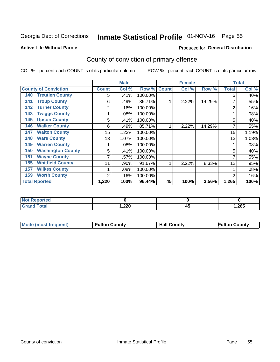## Inmate Statistical Profile 01-NOV-16 Page 55

### **Active Life Without Parole**

## **Produced for General Distribution**

## County of conviction of primary offense

COL % - percent each COUNT is of its particular column

|                                 |              | <b>Male</b> |         |              | <b>Female</b> |        |                | <b>Total</b> |
|---------------------------------|--------------|-------------|---------|--------------|---------------|--------|----------------|--------------|
| <b>County of Conviction</b>     | <b>Count</b> | Col %       | Row %   | <b>Count</b> | Col %         | Row %  | <b>Total</b>   | Col %        |
| <b>Treutlen County</b><br>140   | 5            | .41%        | 100.00% |              |               |        | 5              | .40%         |
| <b>Troup County</b><br>141      | 6            | .49%        | 85.71%  |              | 2.22%         | 14.29% |                | .55%         |
| <b>Turner County</b><br>142     | 2            | .16%        | 100.00% |              |               |        | 2              | .16%         |
| <b>Twiggs County</b><br>143     |              | .08%        | 100.00% |              |               |        |                | .08%         |
| <b>Upson County</b><br>145      | 5            | .41%        | 100.00% |              |               |        | 5              | .40%         |
| <b>Walker County</b><br>146     | 6            | .49%        | 85.71%  |              | 2.22%         | 14.29% | 7              | .55%         |
| <b>Walton County</b><br>147     | 15           | 1.23%       | 100.00% |              |               |        | 15             | 1.19%        |
| <b>Ware County</b><br>148       | 13           | 1.07%       | 100.00% |              |               |        | 13             | 1.03%        |
| <b>Warren County</b><br>149     |              | .08%        | 100.00% |              |               |        |                | .08%         |
| <b>Washington County</b><br>150 | 5            | .41%        | 100.00% |              |               |        | 5              | .40%         |
| <b>Wayne County</b><br>151      |              | .57%        | 100.00% |              |               |        |                | .55%         |
| <b>Whitfield County</b><br>155  | 11           | .90%        | 91.67%  | 4            | 2.22%         | 8.33%  | 12             | .95%         |
| <b>Wilkes County</b><br>157     |              | .08%        | 100.00% |              |               |        |                | .08%         |
| <b>Worth County</b><br>159      | 2            | .16%        | 100.00% |              |               |        | $\overline{2}$ | .16%         |
| <b>Total Rported</b>            | 1,220        | 100%        | 96.44%  | 45           | 100%          | 3.56%  | 1,265          | 100%         |

| orted<br>NO   |              |                 |       |
|---------------|--------------|-----------------|-------|
| <b>c</b> otal | າາດ<br>I.ZZU | - -<br>д.<br>≖∾ | 1,265 |

|  | <b>Mode (most frequent)</b> | <b>Fulton County</b> | <b>Hall County</b> | <b>Fulton County</b> |
|--|-----------------------------|----------------------|--------------------|----------------------|
|--|-----------------------------|----------------------|--------------------|----------------------|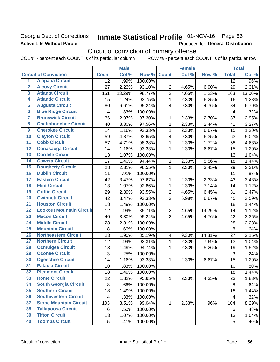## Georgia Dept of Corrections **Active Life Without Parole**

## Inmate Statistical Profile 01-NOV-16 Page 56

Produced for General Distribution

## Circuit of conviction of primary offense

COL % - percent each COUNT is of its particular column ROW % - percent each COUNT is of its particular row

|                         |                                 |                         | <b>Male</b> |         |                         | <b>Female</b> |        |                | <b>Total</b> |
|-------------------------|---------------------------------|-------------------------|-------------|---------|-------------------------|---------------|--------|----------------|--------------|
|                         | <b>Circuit of Conviction</b>    | <b>Count</b>            | Col %       | Row %   | <b>Count</b>            | Col %         | Row %  | <b>Total</b>   | Col %        |
| 1                       | <b>Alapaha Circuit</b>          | 12                      | .99%        | 100.00% |                         |               |        | 12             | .96%         |
| $\overline{2}$          | <b>Alcovy Circuit</b>           | 27                      | 2.23%       | 93.10%  | $\overline{2}$          | 4.65%         | 6.90%  | 29             | 2.31%        |
| $\overline{\mathbf{3}}$ | <b>Atlanta Circuit</b>          | 161                     | 13.29%      | 98.77%  | $\overline{2}$          | 4.65%         | 1.23%  | 163            | 13.00%       |
| 4                       | <b>Atlantic Circuit</b>         | 15                      | 1.24%       | 93.75%  | $\mathbf{1}$            | 2.33%         | 6.25%  | 16             | 1.28%        |
| $\overline{5}$          | <b>Augusta Circuit</b>          | 80                      | 6.61%       | 95.24%  | $\overline{4}$          | 9.30%         | 4.76%  | 84             | 6.70%        |
| $\overline{6}$          | <b>Blue Ridge Circuit</b>       | $\overline{\mathbf{4}}$ | .33%        | 100.00% |                         |               |        | 4              | .32%         |
| 7                       | <b>Brunswick Circuit</b>        | 36                      | 2.97%       | 97.30%  | 1                       | 2.33%         | 2.70%  | 37             | 2.95%        |
| 8                       | <b>Chattahoochee Circuit</b>    | 40                      | 3.30%       | 97.56%  | 1                       | 2.33%         | 2.44%  | 41             | 3.27%        |
| $\overline{9}$          | <b>Cherokee Circuit</b>         | 14                      | 1.16%       | 93.33%  | 1                       | 2.33%         | 6.67%  | 15             | 1.20%        |
| 10                      | <b>Clayton Circuit</b>          | 59                      | 4.87%       | 93.65%  | $\overline{\mathbf{4}}$ | 9.30%         | 6.35%  | 63             | 5.02%        |
| $\overline{11}$         | <b>Cobb Circuit</b>             | 57                      | 4.71%       | 98.28%  | 1                       | 2.33%         | 1.72%  | 58             | 4.63%        |
| $\overline{12}$         | <b>Conasauga Circuit</b>        | 14                      | 1.16%       | 93.33%  | $\mathbf{1}$            | 2.33%         | 6.67%  | 15             | 1.20%        |
| 13                      | <b>Cordele Circuit</b>          | 13                      | 1.07%       | 100.00% |                         |               |        | 13             | 1.04%        |
| $\overline{14}$         | <b>Coweta Circuit</b>           | 17                      | 1.40%       | 94.44%  | $\mathbf{1}$            | 2.33%         | 5.56%  | 18             | 1.44%        |
| $\overline{15}$         | <b>Dougherty Circuit</b>        | 28                      | 2.31%       | 96.55%  | $\mathbf{1}$            | 2.33%         | 3.45%  | 29             | 2.31%        |
| 16                      | <b>Dublin Circuit</b>           | 11                      | .91%        | 100.00% |                         |               |        | 11             | .88%         |
| 17                      | <b>Eastern Circuit</b>          | 42                      | 3.47%       | 97.67%  | 1                       | 2.33%         | 2.33%  | 43             | 3.43%        |
| $\overline{18}$         | <b>Flint Circuit</b>            | 13                      | 1.07%       | 92.86%  | $\mathbf 1$             | 2.33%         | 7.14%  | 14             | 1.12%        |
| 19                      | <b>Griffin Circuit</b>          | 29                      | 2.39%       | 93.55%  | $\overline{2}$          | 4.65%         | 6.45%  | 31             | 2.47%        |
| 20                      | <b>Gwinnett Circuit</b>         | 42                      | 3.47%       | 93.33%  | 3                       | 6.98%         | 6.67%  | 45             | 3.59%        |
| $\overline{21}$         | <b>Houston Circuit</b>          | 18                      | 1.49%       | 100.00% |                         |               |        | 18             | 1.44%        |
| $\overline{22}$         | <b>Lookout Mountain Circuit</b> | 12                      | .99%        | 85.71%  | $\overline{2}$          | 4.65%         | 14.29% | 14             | 1.12%        |
| 23                      | <b>Macon Circuit</b>            | 40                      | 3.30%       | 95.24%  | $\overline{2}$          | 4.65%         | 4.76%  | 42             | 3.35%        |
| 24                      | <b>Middle Circuit</b>           | 28                      | 2.31%       | 100.00% |                         |               |        | 28             | 2.23%        |
| $\overline{25}$         | <b>Mountain Circuit</b>         | 8                       | .66%        | 100.00% |                         |               |        | 8              | .64%         |
| 26                      | <b>Northeastern Circuit</b>     | 23                      | 1.90%       | 85.19%  | $\overline{\mathbf{4}}$ | 9.30%         | 14.81% | 27             | 2.15%        |
| $\overline{27}$         | <b>Northern Circuit</b>         | 12                      | .99%        | 92.31%  | 1                       | 2.33%         | 7.69%  | 13             | 1.04%        |
| 28                      | <b>Ocmulgee Circuit</b>         | 18                      | 1.49%       | 94.74%  | 1                       | 2.33%         | 5.26%  | 19             | 1.52%        |
| 29                      | <b>Oconee Circuit</b>           | 3                       | .25%        | 100.00% |                         |               |        | $\mathfrak{S}$ | .24%         |
| 30                      | <b>Ogeechee Circuit</b>         | 14                      | 1.16%       | 93.33%  | $\mathbf{1}$            | 2.33%         | 6.67%  | 15             | 1.20%        |
| $\overline{31}$         | <b>Pataula Circuit</b>          | 10                      | .83%        | 100.00% |                         |               |        | 10             | .80%         |
| 32                      | <b>Piedmont Circuit</b>         | 18                      | 1.49%       | 100.00% |                         |               |        | 18             | 1.44%        |
| 33                      | <b>Rome Circuit</b>             | 22                      | 1.82%       | 95.65%  | $\mathbf 1$             | 2.33%         | 4.35%  | 23             | 1.83%        |
| 34                      | <b>South Georgia Circuit</b>    | 8                       | .66%        | 100.00% |                         |               |        | 8              | .64%         |
| 35                      | <b>Southern Circuit</b>         | 18                      | 1.49%       | 100.00% |                         |               |        | 18             | 1.44%        |
| 36                      | <b>Southwestern Circuit</b>     | $\overline{\mathbf{4}}$ | .33%        | 100.00% |                         |               |        | 4              | .32%         |
| 37                      | <b>Stone Mountain Circuit</b>   | 103                     | 8.51%       | 99.04%  | 1                       | 2.33%         | .96%   | 104            | 8.29%        |
| 38                      | <b>Tallapoosa Circuit</b>       | 6                       | .50%        | 100.00% |                         |               |        | 6              | .48%         |
| 39                      | <b>Tifton Circuit</b>           | 13                      | 1.07%       | 100.00% |                         |               |        | 13             | 1.04%        |
| 40                      | <b>Toombs Circuit</b>           | 5                       | .41%        | 100.00% |                         |               |        | 5              | .40%         |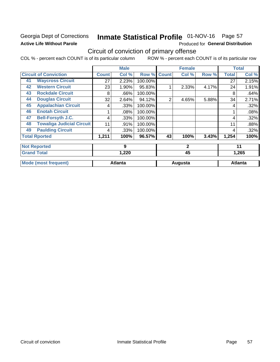## Georgia Dept of Corrections **Active Life Without Parole**

## Inmate Statistical Profile 01-NOV-16 Page 57

Produced for General Distribution

## Circuit of conviction of primary offense

COL % - percent each COUNT is of its particular column ROW % - percent each COUNT is of its particular row

|    |                                  |              | <b>Male</b>    |         |                | <b>Female</b> |       |              | <b>Total</b>   |
|----|----------------------------------|--------------|----------------|---------|----------------|---------------|-------|--------------|----------------|
|    | <b>Circuit of Conviction</b>     | <b>Count</b> | Col %          | Row %   | <b>Count</b>   | Col %         | Row % | <b>Total</b> | Col %          |
| 41 | <b>Waycross Circuit</b>          | 27           | 2.23%          | 100.00% |                |               |       | 27           | 2.15%          |
| 42 | <b>Western Circuit</b>           | 23           | 1.90%          | 95.83%  |                | 2.33%         | 4.17% | 24           | 1.91%          |
| 43 | <b>Rockdale Circuit</b>          | 8            | .66%           | 100.00% |                |               |       | 8            | .64%           |
| 44 | <b>Douglas Circuit</b>           | 32           | 2.64%          | 94.12%  | $\overline{2}$ | 4.65%         | 5.88% | 34           | 2.71%          |
| 45 | <b>Appalachian Circuit</b>       | 4            | .33%           | 100.00% |                |               |       | 4            | .32%           |
| 46 | <b>Enotah Circuit</b>            |              | .08%           | 100.00% |                |               |       |              | .08%           |
| 47 | <b>Bell-Forsyth J.C.</b>         | 4            | .33%           | 100.00% |                |               |       | 4            | .32%           |
| 48 | <b>Towaliga Judicial Circuit</b> | 11           | .91%           | 100.00% |                |               |       | 11           | .88%           |
| 49 | <b>Paulding Circuit</b>          | 4            | .33%           | 100.00% |                |               |       | 4            | .32%           |
|    | <b>Total Rported</b>             | 1,211        | 100%           | 96.57%  | 43             | 100%          | 3.43% | 1,254        | 100%           |
|    | <b>Not Reported</b>              |              | 9              |         |                | $\mathbf{2}$  |       |              | 11             |
|    | <b>Grand Total</b>               |              | 1,220          |         |                | 45            |       | 1,265        |                |
|    | <b>Mode (most frequent)</b>      |              | <b>Atlanta</b> |         |                | Augusta       |       |              | <b>Atlanta</b> |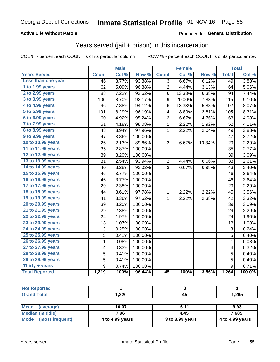## **Active Life Without Parole**

## Produced for General Distribution

## Years served (jail + prison) in this incarceration

COL % - percent each COUNT is of its particular column

|                        |              | <b>Male</b> |                  |                 | <b>Female</b> |        |                | <b>Total</b> |
|------------------------|--------------|-------------|------------------|-----------------|---------------|--------|----------------|--------------|
| <b>Years Served</b>    | <b>Count</b> | Col %       | Row <sup>%</sup> | <b>Count</b>    | Col %         | Row %  | <b>Total</b>   | Col %        |
| Less than one year     | 46           | 3.77%       | 93.88%           | 3               | 6.67%         | 6.12%  | 49             | 3.88%        |
| 1 to 1.99 years        | 62           | 5.09%       | 96.88%           | 2               | 4.44%         | 3.13%  | 64             | 5.06%        |
| 2 to 2.99 years        | 88           | 7.22%       | 93.62%           | 6               | 13.33%        | 6.38%  | 94             | 7.44%        |
| 3 to 3.99 years        | 106          | 8.70%       | 92.17%           | 9               | 20.00%        | 7.83%  | 115            | 9.10%        |
| 4 to 4.99 years        | 96           | 7.88%       | 94.12%           | 6               | 13.33%        | 5.88%  | 102            | 8.07%        |
| 5 to 5.99 years        | 101          | 8.29%       | 96.19%           | 4               | 8.89%         | 3.81%  | 105            | 8.31%        |
| 6 to 6.99 years        | 60           | 4.92%       | 95.24%           | 3               | 6.67%         | 4.76%  | 63             | 4.98%        |
| 7 to 7.99 years        | 51           | 4.18%       | 98.08%           | 1               | 2.22%         | 1.92%  | 52             | 4.11%        |
| <b>8 to 8.99 years</b> | 48           | 3.94%       | 97.96%           | $\mathbf 1$     | 2.22%         | 2.04%  | 49             | 3.88%        |
| 9 to 9.99 years        | 47           | 3.86%       | 100.00%          |                 |               |        | 47             | 3.72%        |
| 10 to 10.99 years      | 26           | 2.13%       | 89.66%           | 3               | 6.67%         | 10.34% | 29             | 2.29%        |
| 11 to 11.99 years      | 35           | 2.87%       | 100.00%          |                 |               |        | 35             | 2.77%        |
| 12 to 12.99 years      | 39           | 3.20%       | 100.00%          |                 |               |        | 39             | 3.09%        |
| 13 to 13.99 years      | 31           | 2.54%       | 93.94%           | 2               | 4.44%         | 6.06%  | 33             | 2.61%        |
| 14 to 14.99 years      | 40           | 3.28%       | 93.02%           | 3               | 6.67%         | 6.98%  | 43             | 3.40%        |
| 15 to 15.99 years      | 46           | 3.77%       | 100.00%          |                 |               |        | 46             | 3.64%        |
| 16 to 16.99 years      | 46           | 3.77%       | 100.00%          |                 |               |        | 46             | 3.64%        |
| 17 to 17.99 years      | 29           | 2.38%       | 100.00%          |                 |               |        | 29             | 2.29%        |
| 18 to 18.99 years      | 44           | 3.61%       | 97.78%           | 1               | 2.22%         | 2.22%  | 45             | 3.56%        |
| 19 to 19.99 years      | 41           | 3.36%       | 97.62%           | 1               | 2.22%         | 2.38%  | 42             | 3.32%        |
| 20 to 20.99 years      | 39           | 3.20%       | 100.00%          |                 |               |        | 39             | 3.09%        |
| 21 to 21.99 years      | 29           | 2.38%       | 100.00%          |                 |               |        | 29             | 2.29%        |
| 22 to 22.99 years      | 24           | 1.97%       | 100.00%          |                 |               |        | 24             | 1.90%        |
| 23 to 23.99 years      | 13           | 1.07%       | 100.00%          |                 |               |        | 13             | 1.03%        |
| 24 to 24.99 years      | 3            | 0.25%       | 100.00%          |                 |               |        | 3              | 0.24%        |
| 25 to 25.99 years      | 5            | 0.41%       | 100.00%          |                 |               |        | 5              | 0.40%        |
| 26 to 26.99 years      | $\mathbf 1$  | 0.08%       | 100.00%          |                 |               |        | $\mathbf 1$    | 0.08%        |
| 27 to 27.99 years      | 4            | 0.33%       | 100.00%          |                 |               |        | 4              | 0.32%        |
| 28 to 28.99 years      | 5            | 0.41%       | 100.00%          |                 |               |        | 5              | 0.40%        |
| 29 to 29.99 years      | 5            | 0.41%       | 100.00%          |                 |               |        | $\overline{5}$ | 0.40%        |
| Thirty + years         | 9            | 0.74%       | 100.00%          |                 |               |        | $\overline{9}$ | 0.71%        |
| <b>Total Reported</b>  | 1,219        | 100%        | 96.44%           | $\overline{45}$ | 100%          | 3.56%  | 1,264          | 100.0%       |

| <b>Reported</b><br><b>NOT</b> |                |     |       |
|-------------------------------|----------------|-----|-------|
| <b>Total</b>                  | າາດ<br>ں کے, ا | −r⇔ | 1,265 |

| <b>Mean</b><br>(average) | 10.07           | 6.11            | 9.93            |
|--------------------------|-----------------|-----------------|-----------------|
| Median (middle)          | 7.96            | 4.45            | 7.685           |
| Mode (most frequent)     | 4 to 4.99 years | 3 to 3.99 years | 4 to 4.99 years |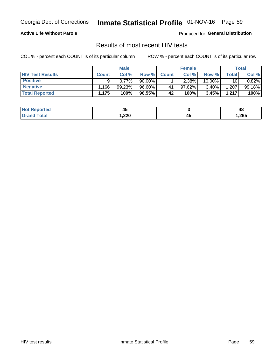## Inmate Statistical Profile 01-NOV-16 Page 59

## **Active Life Without Parole**

Produced for General Distribution

## Results of most recent HIV tests

COL % - percent each COUNT is of its particular column

|                         |              | <b>Male</b> |        |              | <b>Female</b> |          |             | Total  |
|-------------------------|--------------|-------------|--------|--------------|---------------|----------|-------------|--------|
| <b>HIV Test Results</b> | <b>Count</b> | Col%        | Row %I | <b>Count</b> | Col %         | Row %    | $\tau$ otal | Col %  |
| <b>Positive</b>         | a            | $0.77\%$    | 90.00% |              | $2.38\%$      | 10.00%   | 10          | 0.82%  |
| <b>Negative</b>         | .166         | 99.23%      | 96.60% | 41           | 97.62%        | $3.40\%$ | ,207        | 99.18% |
| <b>Total Reported</b>   | 1,175        | 100%        | 96.55% | 42           | 100%          | 3.45%    | 1,217       | 100%   |

| <b>Not Reported</b>    | . .<br>∼ |          | 4٤    |
|------------------------|----------|----------|-------|
| <b>Total</b><br>. Grot | 1,220    | . .<br>∼ | 1,265 |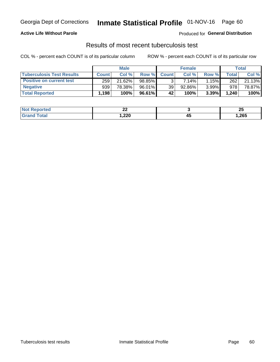## Georgia Dept of Corrections **Inmate Statistical Profile** 01-NOV-16 Page 60

## **Active Life Without Parole**

Produced for **General Distribution**

## Results of most recent tuberculosis test

COL % - percent each COUNT is of its particular column ROW % - percent each COUNT is of its particular row

|                                  |              | <b>Male</b> |           |                 | <b>Female</b> |       |       | Total  |
|----------------------------------|--------------|-------------|-----------|-----------------|---------------|-------|-------|--------|
| <b>Tuberculosis Test Results</b> | <b>Count</b> | Col%        | Row %I    | <b>Count</b>    | Col%          | Row % | Total | Col %  |
| <b>Positive on current test</b>  | 259          | 21.62%      | 98.85%    |                 | 7.14%         | 1.15% | 262   | 21.13% |
| <b>Negative</b>                  | 939          | 78.38%      | $96.01\%$ | 39 <sub>1</sub> | 92.86%        | 3.99% | 978   | 78.87% |
| <b>Total Reported</b>            | 1,198        | 100%        | 96.61%    | 42              | 100%          | 3.39% | 1,240 | 100%   |

| <b>Not Reported</b> | n,<br>-- |    | ∼     |
|---------------------|----------|----|-------|
| Total               | 220,،    | ≖⊷ | 1,265 |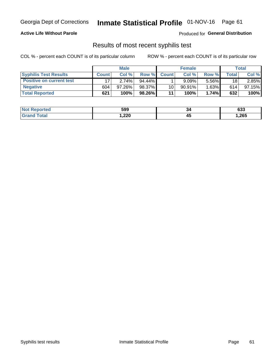## Georgia Dept of Corrections **Inmate Statistical Profile** 01-NOV-16 Page 61

## **Active Life Without Parole**

Produced for **General Distribution**

## Results of most recent syphilis test

COL % - percent each COUNT is of its particular column ROW % - percent each COUNT is of its particular row

|                                 |              | <b>Male</b> |           |                 | <b>Female</b> |          |         | Total  |
|---------------------------------|--------------|-------------|-----------|-----------------|---------------|----------|---------|--------|
| <b>Syphilis Test Results</b>    | <b>Count</b> | Col%        | Row %     | <b>Count</b>    | Col %         | Row %    | Total i | Col %  |
| <b>Positive on current test</b> |              | 2.74%       | $94.44\%$ |                 | 9.09%         | 5.56%    | 18      | 2.85%  |
| <b>Negative</b>                 | 604          | $97.26\%$   | 98.37%    | 10 <sup>1</sup> | $90.91\%$     | $1.63\%$ | 614     | 97.15% |
| <b>Total Reported</b>           | 621          | $100\%$     | 98.26%    | 11              | 100%          | 1.74%    | 632     | 100%   |

| <b>Not Reported</b>          | 599    | 34        | 633    |
|------------------------------|--------|-----------|--------|
| <b>Total</b><br><b>Grand</b> | 220, ا | . .<br>45 | 265, ا |